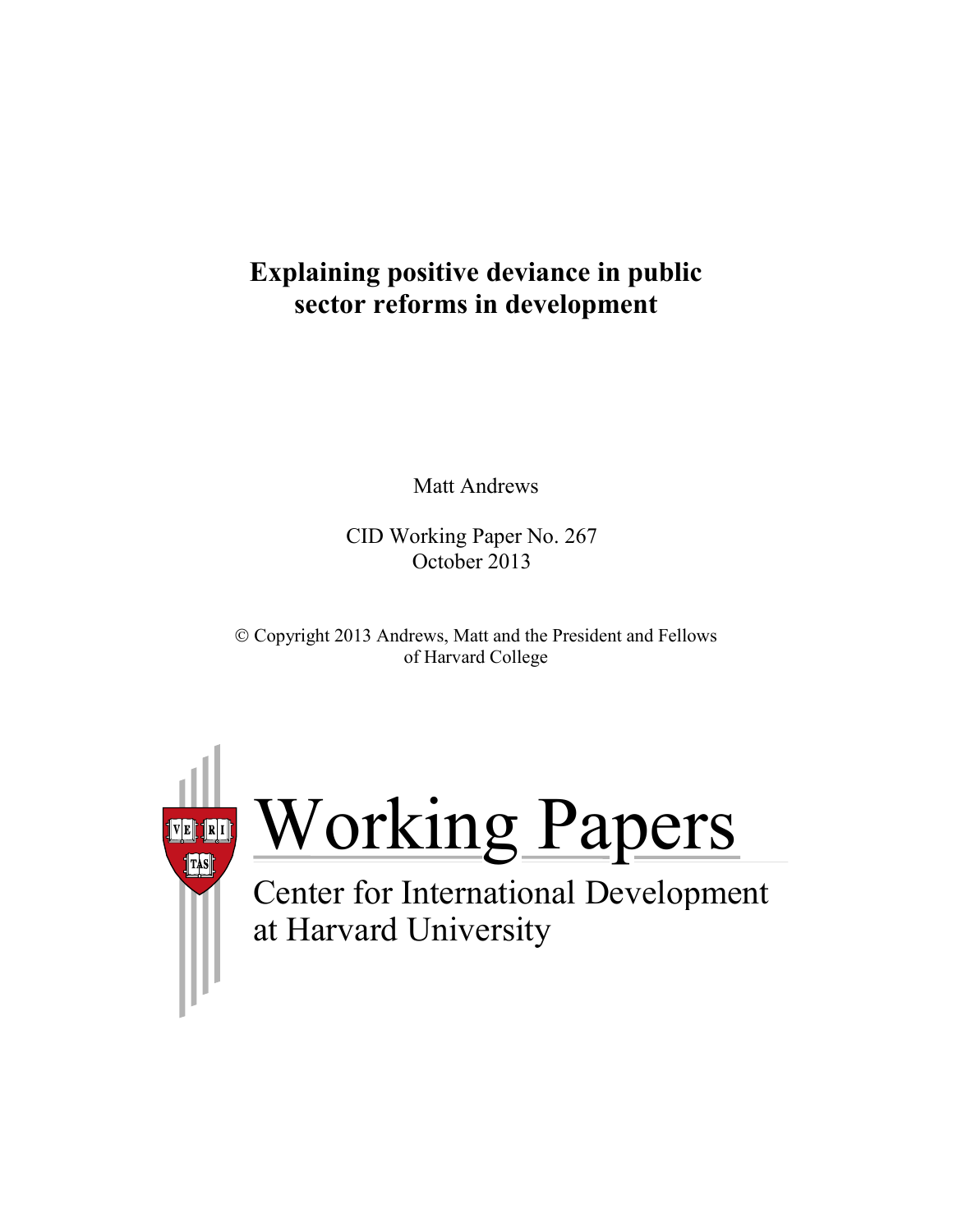# **Explaining positive deviance in public sector reforms in development**

Matt Andrews

CID Working Paper No. 267 October 2013

 Copyright 2013 Andrews, Matt and the President and Fellows of Harvard College



Working Papers

at Harvard University Center for International Development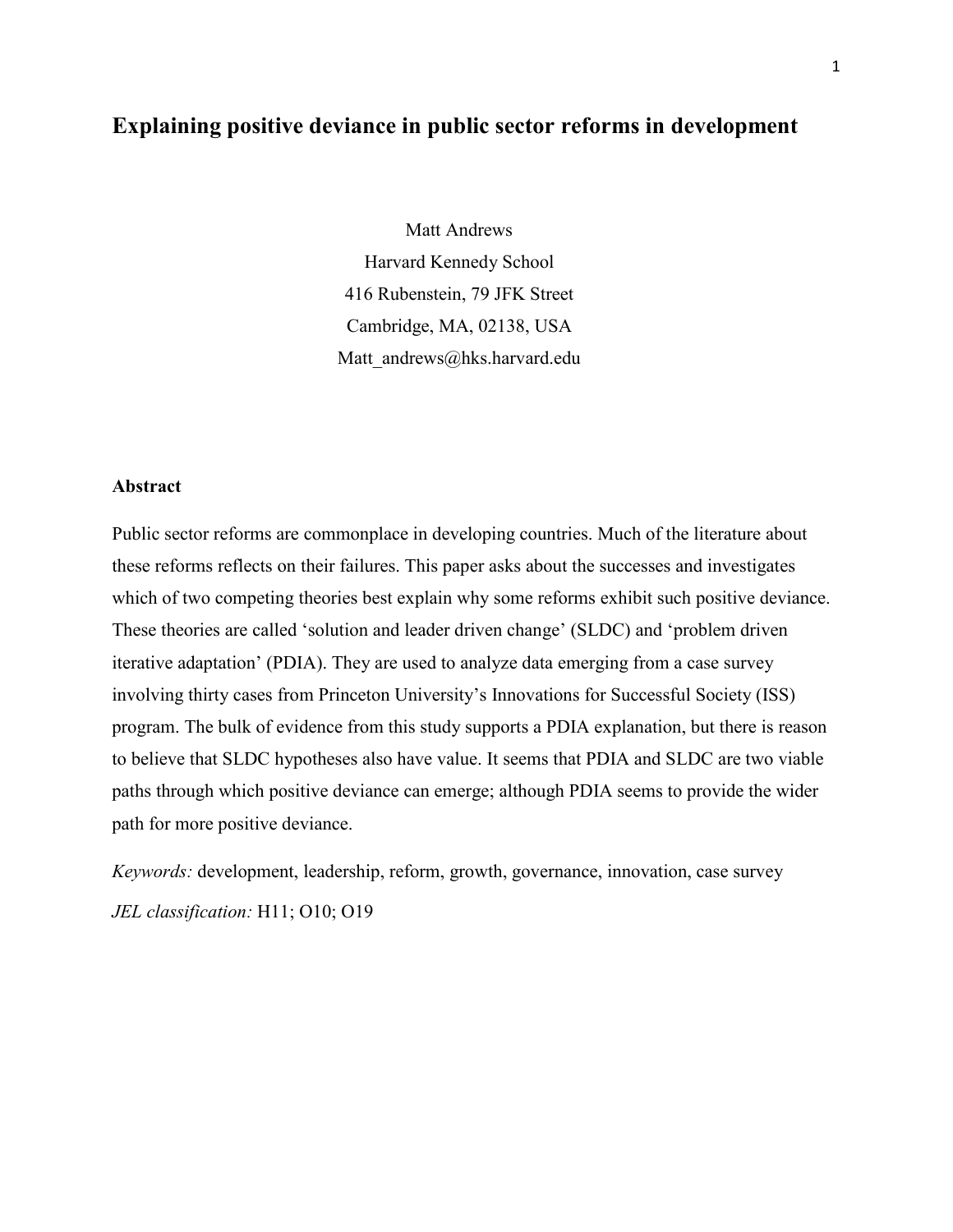## **Explaining positive deviance in public sector reforms in development**

Matt Andrews Harvard Kennedy School 416 Rubenstein, 79 JFK Street Cambridge, MA, 02138, USA Matt andrews@hks.harvard.edu

#### **Abstract**

Public sector reforms are commonplace in developing countries. Much of the literature about these reforms reflects on their failures. This paper asks about the successes and investigates which of two competing theories best explain why some reforms exhibit such positive deviance. These theories are called 'solution and leader driven change' (SLDC) and 'problem driven iterative adaptation' (PDIA). They are used to analyze data emerging from a case survey involving thirty cases from Princeton University's Innovations for Successful Society (ISS) program. The bulk of evidence from this study supports a PDIA explanation, but there is reason to believe that SLDC hypotheses also have value. It seems that PDIA and SLDC are two viable paths through which positive deviance can emerge; although PDIA seems to provide the wider path for more positive deviance.

*Keywords:* development, leadership, reform, growth, governance, innovation, case survey *JEL classification:* H11; O10; O19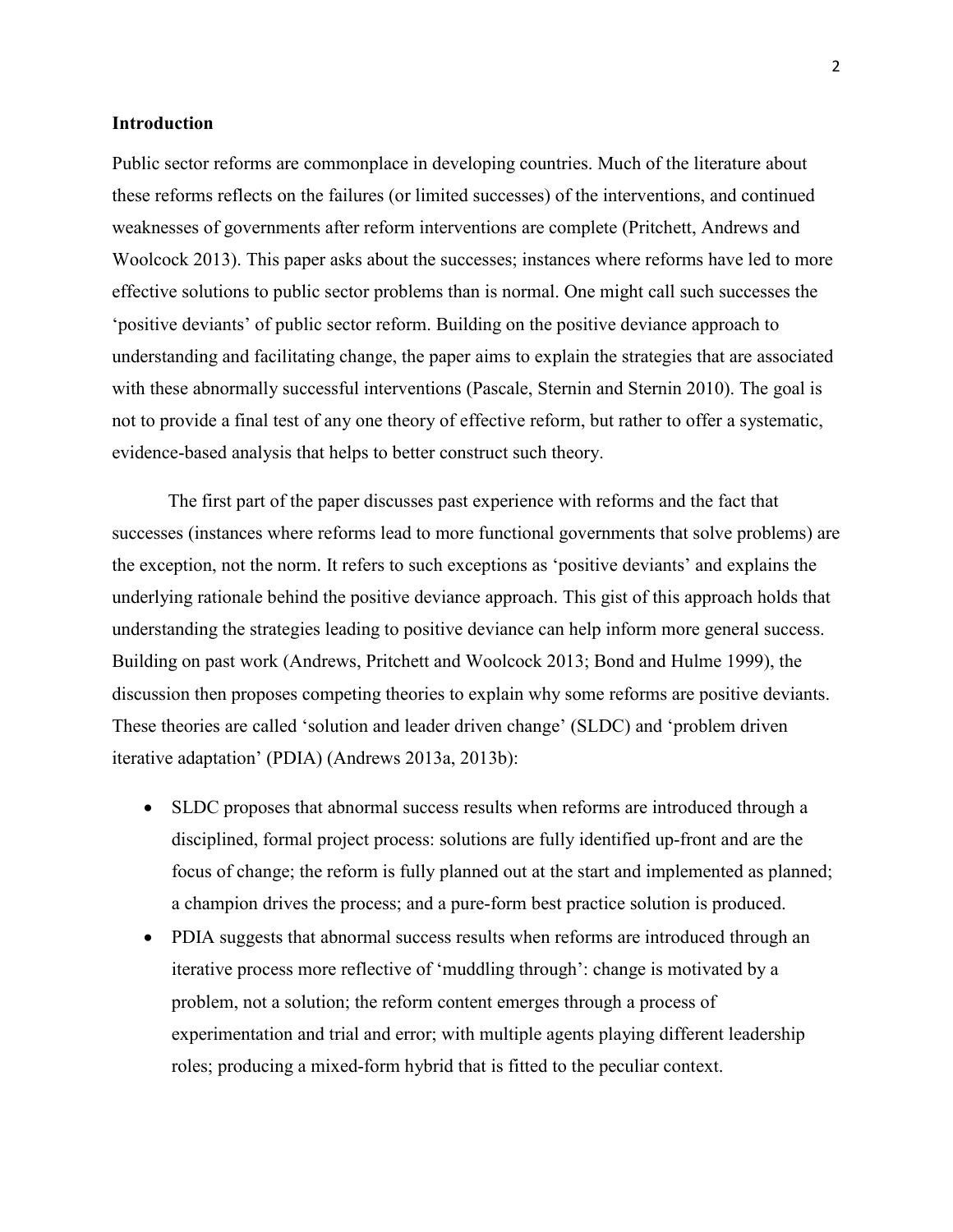#### **Introduction**

Public sector reforms are commonplace in developing countries. Much of the literature about these reforms reflects on the failures (or limited successes) of the interventions, and continued weaknesses of governments after reform interventions are complete (Pritchett, Andrews and Woolcock 2013). This paper asks about the successes; instances where reforms have led to more effective solutions to public sector problems than is normal. One might call such successes the 'positive deviants' of public sector reform. Building on the positive deviance approach to understanding and facilitating change, the paper aims to explain the strategies that are associated with these abnormally successful interventions (Pascale, Sternin and Sternin 2010). The goal is not to provide a final test of any one theory of effective reform, but rather to offer a systematic, evidence-based analysis that helps to better construct such theory.

The first part of the paper discusses past experience with reforms and the fact that successes (instances where reforms lead to more functional governments that solve problems) are the exception, not the norm. It refers to such exceptions as 'positive deviants' and explains the underlying rationale behind the positive deviance approach. This gist of this approach holds that understanding the strategies leading to positive deviance can help inform more general success. Building on past work (Andrews, Pritchett and Woolcock 2013; Bond and Hulme 1999), the discussion then proposes competing theories to explain why some reforms are positive deviants. These theories are called 'solution and leader driven change' (SLDC) and 'problem driven iterative adaptation' (PDIA) (Andrews 2013a, 2013b):

- SLDC proposes that abnormal success results when reforms are introduced through a disciplined, formal project process: solutions are fully identified up-front and are the focus of change; the reform is fully planned out at the start and implemented as planned; a champion drives the process; and a pure-form best practice solution is produced.
- PDIA suggests that abnormal success results when reforms are introduced through an iterative process more reflective of 'muddling through': change is motivated by a problem, not a solution; the reform content emerges through a process of experimentation and trial and error; with multiple agents playing different leadership roles; producing a mixed-form hybrid that is fitted to the peculiar context.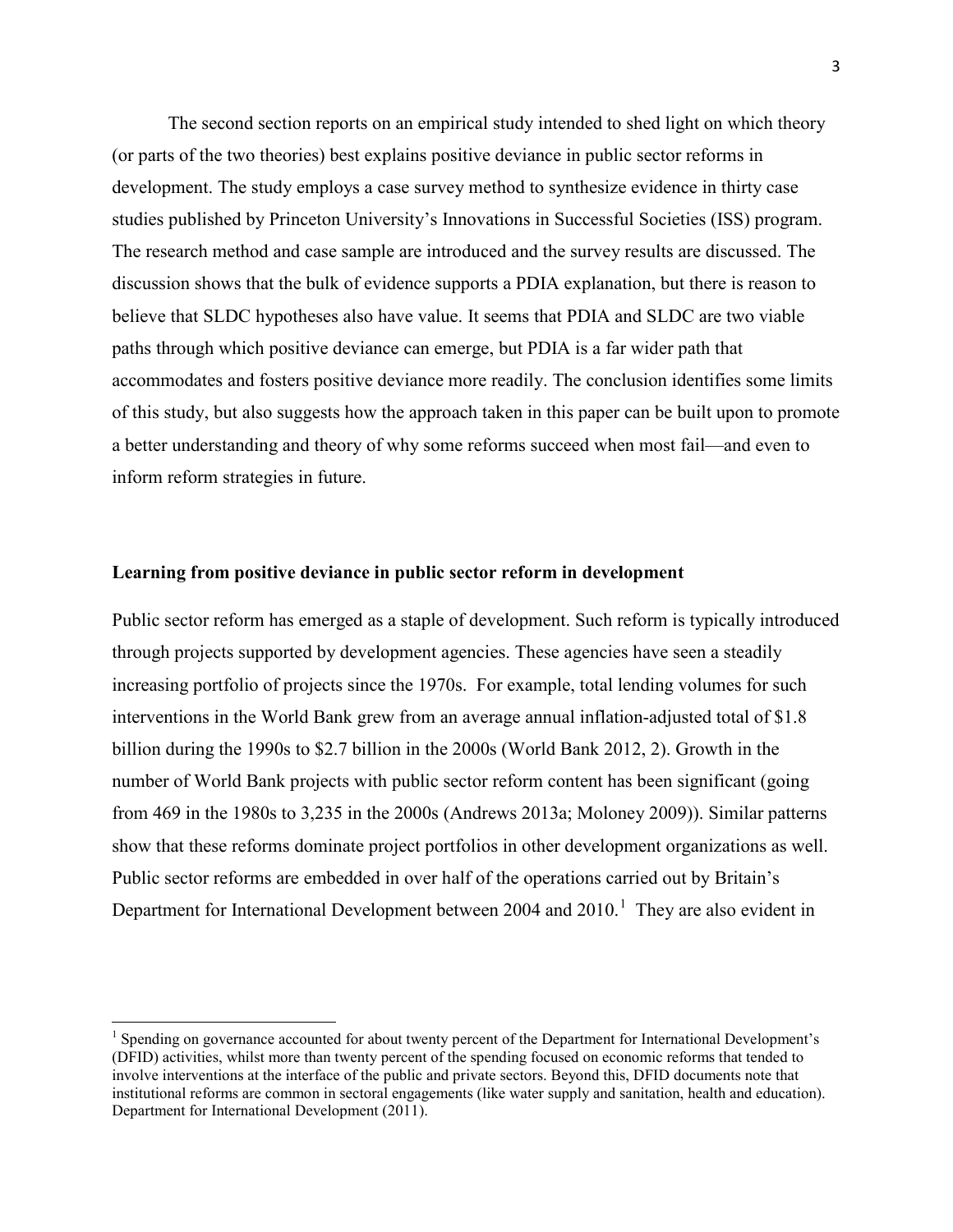The second section reports on an empirical study intended to shed light on which theory (or parts of the two theories) best explains positive deviance in public sector reforms in development. The study employs a case survey method to synthesize evidence in thirty case studies published by Princeton University's Innovations in Successful Societies (ISS) program. The research method and case sample are introduced and the survey results are discussed. The discussion shows that the bulk of evidence supports a PDIA explanation, but there is reason to believe that SLDC hypotheses also have value. It seems that PDIA and SLDC are two viable paths through which positive deviance can emerge, but PDIA is a far wider path that accommodates and fosters positive deviance more readily. The conclusion identifies some limits of this study, but also suggests how the approach taken in this paper can be built upon to promote a better understanding and theory of why some reforms succeed when most fail—and even to inform reform strategies in future.

#### **Learning from positive deviance in public sector reform in development**

Public sector reform has emerged as a staple of development. Such reform is typically introduced through projects supported by development agencies. These agencies have seen a steadily increasing portfolio of projects since the 1970s. For example, total lending volumes for such interventions in the World Bank grew from an average annual inflation-adjusted total of \$1.8 billion during the 1990s to \$2.7 billion in the 2000s (World Bank 2012, 2). Growth in the number of World Bank projects with public sector reform content has been significant (going from 469 in the 1980s to 3,235 in the 2000s (Andrews 2013a; Moloney 2009)). Similar patterns show that these reforms dominate project portfolios in other development organizations as well. Public sector reforms are embedded in over half of the operations carried out by Britain's Department for International Development between  $2004$  and  $2010$  $2010$  $2010$ .<sup>1</sup> They are also evident in

<span id="page-3-0"></span><sup>&</sup>lt;sup>1</sup> Spending on governance accounted for about twenty percent of the Department for International Development's (DFID) activities, whilst more than twenty percent of the spending focused on economic reforms that tended to involve interventions at the interface of the public and private sectors. Beyond this, DFID documents note that institutional reforms are common in sectoral engagements (like water supply and sanitation, health and education). Department for International Development (2011).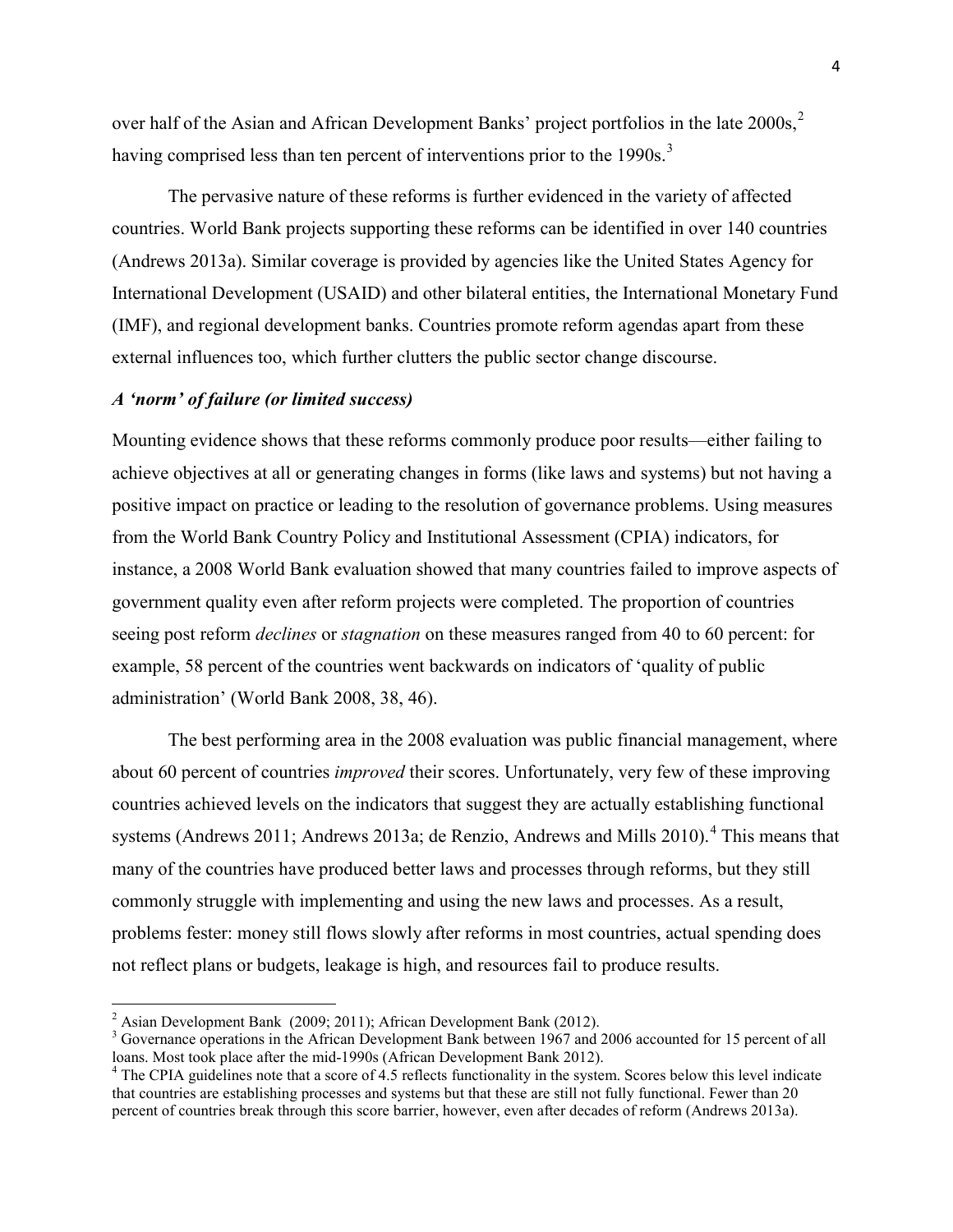over half of the Asian and African Development Banks' project portfolios in the late [2](#page-4-0)000s,<sup>2</sup> having comprised less than ten percent of interventions prior to the 1990s.<sup>[3](#page-4-1)</sup>

The pervasive nature of these reforms is further evidenced in the variety of affected countries. World Bank projects supporting these reforms can be identified in over 140 countries (Andrews 2013a). Similar coverage is provided by agencies like the United States Agency for International Development (USAID) and other bilateral entities, the International Monetary Fund (IMF), and regional development banks. Countries promote reform agendas apart from these external influences too, which further clutters the public sector change discourse.

#### *A 'norm' of failure (or limited success)*

Mounting evidence shows that these reforms commonly produce poor results—either failing to achieve objectives at all or generating changes in forms (like laws and systems) but not having a positive impact on practice or leading to the resolution of governance problems. Using measures from the World Bank Country Policy and Institutional Assessment (CPIA) indicators, for instance, a 2008 World Bank evaluation showed that many countries failed to improve aspects of government quality even after reform projects were completed. The proportion of countries seeing post reform *declines* or *stagnation* on these measures ranged from 40 to 60 percent: for example, 58 percent of the countries went backwards on indicators of 'quality of public administration' (World Bank 2008, 38, 46).

The best performing area in the 2008 evaluation was public financial management, where about 60 percent of countries *improved* their scores. Unfortunately, very few of these improving countries achieved levels on the indicators that suggest they are actually establishing functional systems (Andrews 2011; Andrews 2013a; de Renzio, Andrews and Mills 2010).<sup>[4](#page-4-2)</sup> This means that many of the countries have produced better laws and processes through reforms, but they still commonly struggle with implementing and using the new laws and processes. As a result, problems fester: money still flows slowly after reforms in most countries, actual spending does not reflect plans or budgets, leakage is high, and resources fail to produce results.

<span id="page-4-1"></span>

<span id="page-4-0"></span><sup>&</sup>lt;sup>2</sup> Asian Development Bank (2009; 2011); African Development Bank (2012).<br><sup>3</sup> Governance operations in the African Development Bank between 1967 and 2006 accounted for 15 percent of all loans. Most took place after the mi

<span id="page-4-2"></span><sup>&</sup>lt;sup>4</sup> The CPIA guidelines note that a score of 4.5 reflects functionality in the system. Scores below this level indicate that countries are establishing processes and systems but that these are still not fully functional. Fewer than 20 percent of countries break through this score barrier, however, even after decades of reform (Andrews 2013a).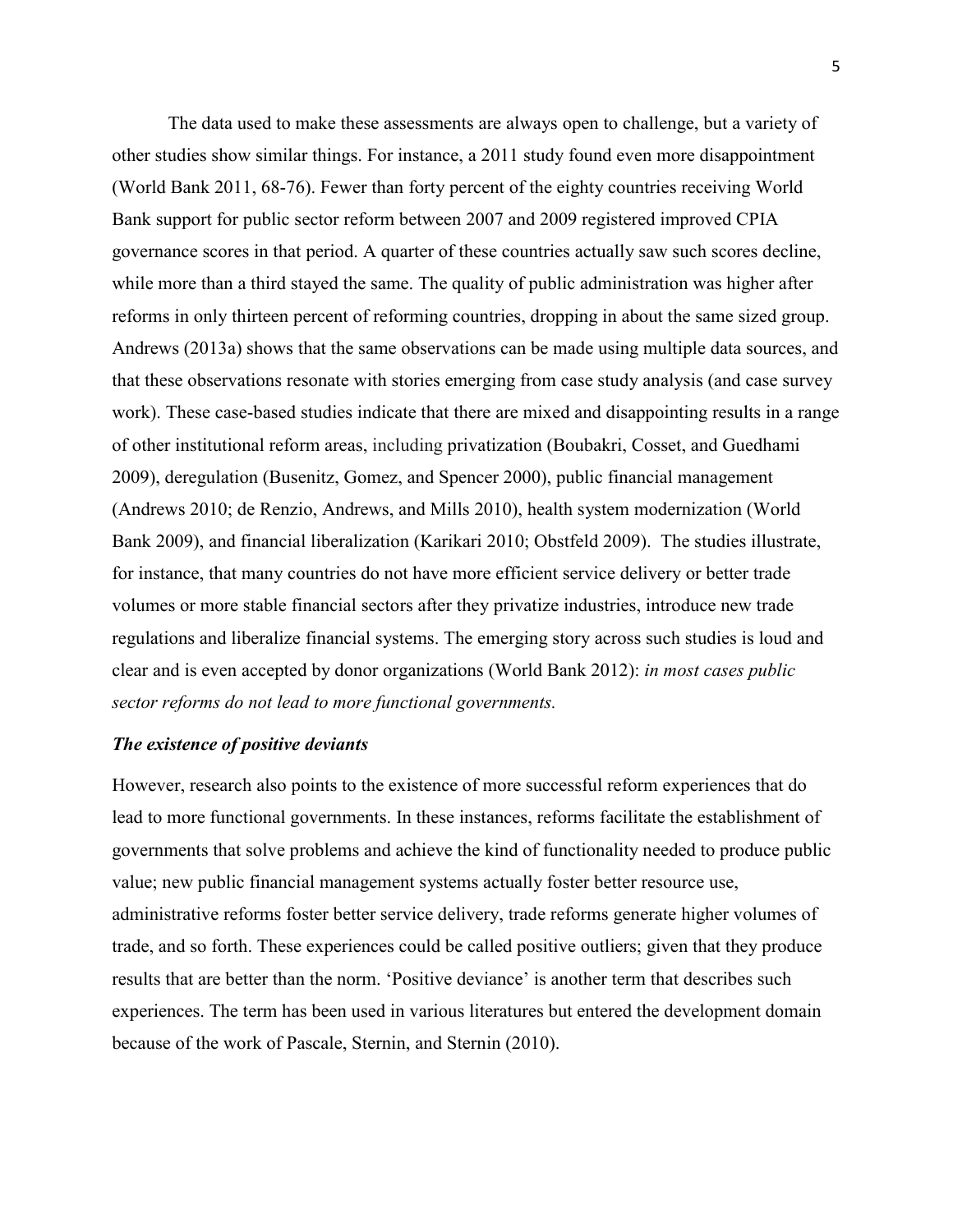The data used to make these assessments are always open to challenge, but a variety of other studies show similar things. For instance, a 2011 study found even more disappointment (World Bank 2011, 68-76). Fewer than forty percent of the eighty countries receiving World Bank support for public sector reform between 2007 and 2009 registered improved CPIA governance scores in that period. A quarter of these countries actually saw such scores decline, while more than a third stayed the same. The quality of public administration was higher after reforms in only thirteen percent of reforming countries, dropping in about the same sized group. Andrews (2013a) shows that the same observations can be made using multiple data sources, and that these observations resonate with stories emerging from case study analysis (and case survey work). These case-based studies indicate that there are mixed and disappointing results in a range of other institutional reform areas, including privatization (Boubakri, Cosset, and Guedhami 2009), deregulation (Busenitz, Gomez, and Spencer 2000), public financial management (Andrews 2010; de Renzio, Andrews, and Mills 2010), health system modernization (World Bank 2009), and financial liberalization (Karikari 2010; Obstfeld 2009). The studies illustrate, for instance, that many countries do not have more efficient service delivery or better trade volumes or more stable financial sectors after they privatize industries, introduce new trade regulations and liberalize financial systems. The emerging story across such studies is loud and clear and is even accepted by donor organizations (World Bank 2012): *in most cases public sector reforms do not lead to more functional governments.*

## *The existence of positive deviants*

However, research also points to the existence of more successful reform experiences that do lead to more functional governments. In these instances, reforms facilitate the establishment of governments that solve problems and achieve the kind of functionality needed to produce public value; new public financial management systems actually foster better resource use, administrative reforms foster better service delivery, trade reforms generate higher volumes of trade, and so forth. These experiences could be called positive outliers; given that they produce results that are better than the norm. 'Positive deviance' is another term that describes such experiences. The term has been used in various literatures but entered the development domain because of the work of Pascale, Sternin, and Sternin (2010).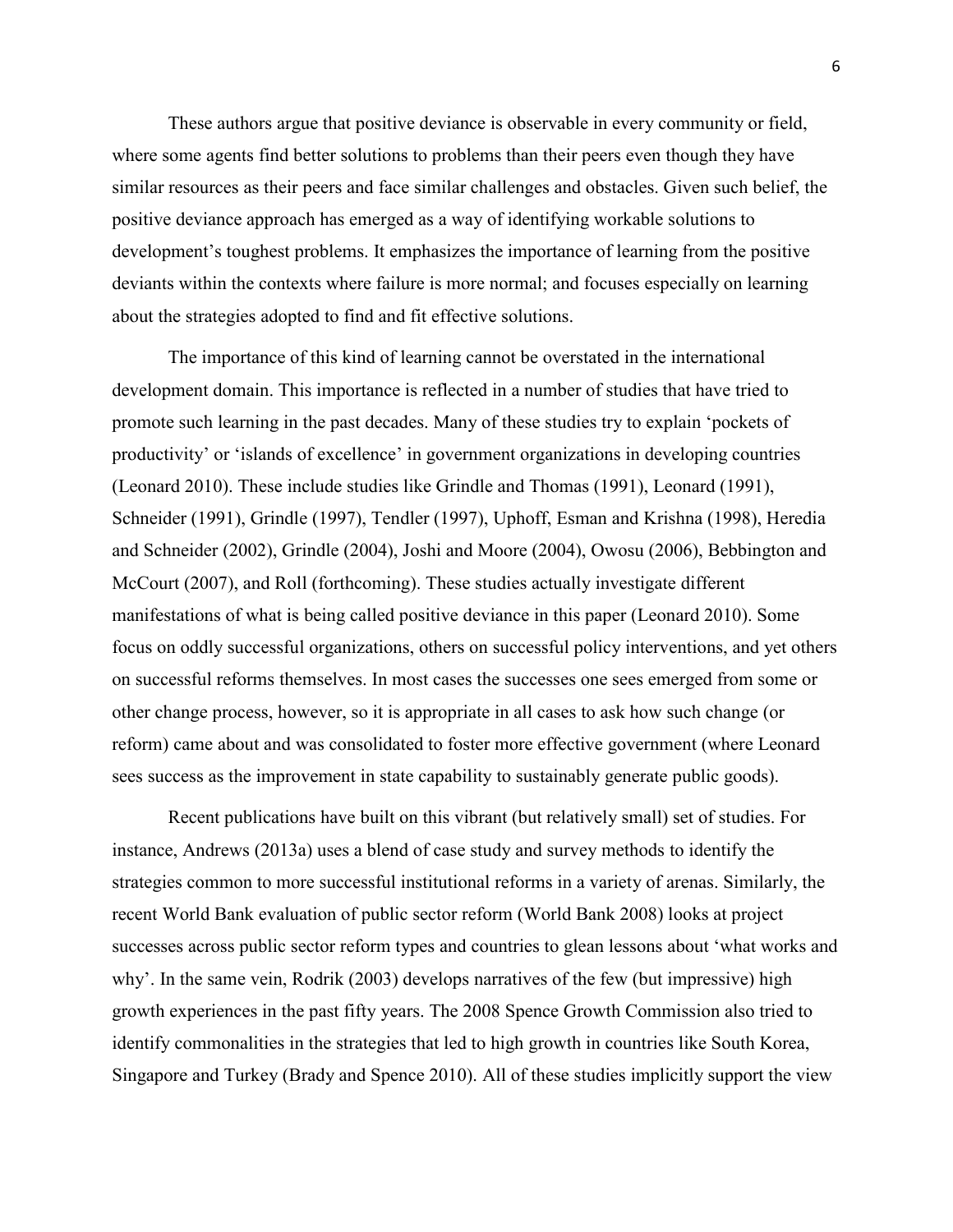These authors argue that positive deviance is observable in every community or field, where some agents find better solutions to problems than their peers even though they have similar resources as their peers and face similar challenges and obstacles. Given such belief, the positive deviance approach has emerged as a way of identifying workable solutions to development's toughest problems. It emphasizes the importance of learning from the positive deviants within the contexts where failure is more normal; and focuses especially on learning about the strategies adopted to find and fit effective solutions.

The importance of this kind of learning cannot be overstated in the international development domain. This importance is reflected in a number of studies that have tried to promote such learning in the past decades. Many of these studies try to explain 'pockets of productivity' or 'islands of excellence' in government organizations in developing countries (Leonard 2010). These include studies like Grindle and Thomas (1991), Leonard (1991), Schneider (1991), Grindle (1997), Tendler (1997), Uphoff, Esman and Krishna (1998), Heredia and Schneider (2002), Grindle (2004), Joshi and Moore (2004), Owosu (2006), Bebbington and McCourt (2007), and Roll (forthcoming). These studies actually investigate different manifestations of what is being called positive deviance in this paper (Leonard 2010). Some focus on oddly successful organizations, others on successful policy interventions, and yet others on successful reforms themselves. In most cases the successes one sees emerged from some or other change process, however, so it is appropriate in all cases to ask how such change (or reform) came about and was consolidated to foster more effective government (where Leonard sees success as the improvement in state capability to sustainably generate public goods).

Recent publications have built on this vibrant (but relatively small) set of studies. For instance, Andrews (2013a) uses a blend of case study and survey methods to identify the strategies common to more successful institutional reforms in a variety of arenas. Similarly, the recent World Bank evaluation of public sector reform (World Bank 2008) looks at project successes across public sector reform types and countries to glean lessons about 'what works and why'. In the same vein, Rodrik (2003) develops narratives of the few (but impressive) high growth experiences in the past fifty years. The 2008 Spence Growth Commission also tried to identify commonalities in the strategies that led to high growth in countries like South Korea, Singapore and Turkey (Brady and Spence 2010). All of these studies implicitly support the view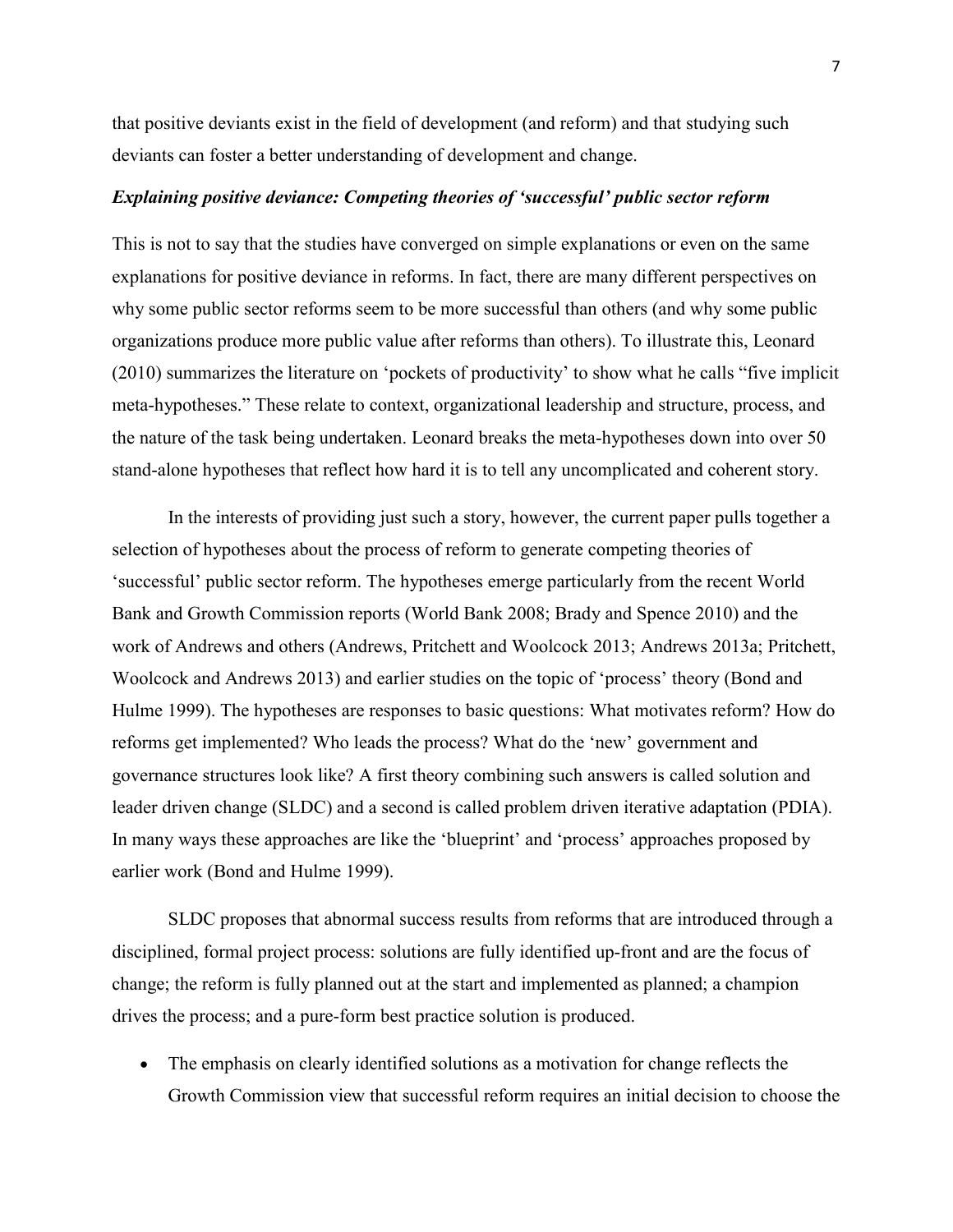that positive deviants exist in the field of development (and reform) and that studying such deviants can foster a better understanding of development and change.

## *Explaining positive deviance: Competing theories of 'successful' public sector reform*

This is not to say that the studies have converged on simple explanations or even on the same explanations for positive deviance in reforms. In fact, there are many different perspectives on why some public sector reforms seem to be more successful than others (and why some public organizations produce more public value after reforms than others). To illustrate this, Leonard (2010) summarizes the literature on 'pockets of productivity' to show what he calls "five implicit meta-hypotheses." These relate to context, organizational leadership and structure, process, and the nature of the task being undertaken. Leonard breaks the meta-hypotheses down into over 50 stand-alone hypotheses that reflect how hard it is to tell any uncomplicated and coherent story.

In the interests of providing just such a story, however, the current paper pulls together a selection of hypotheses about the process of reform to generate competing theories of 'successful' public sector reform. The hypotheses emerge particularly from the recent World Bank and Growth Commission reports (World Bank 2008; Brady and Spence 2010) and the work of Andrews and others (Andrews, Pritchett and Woolcock 2013; Andrews 2013a; Pritchett, Woolcock and Andrews 2013) and earlier studies on the topic of 'process' theory (Bond and Hulme 1999). The hypotheses are responses to basic questions: What motivates reform? How do reforms get implemented? Who leads the process? What do the 'new' government and governance structures look like? A first theory combining such answers is called solution and leader driven change (SLDC) and a second is called problem driven iterative adaptation (PDIA). In many ways these approaches are like the 'blueprint' and 'process' approaches proposed by earlier work (Bond and Hulme 1999).

SLDC proposes that abnormal success results from reforms that are introduced through a disciplined, formal project process: solutions are fully identified up-front and are the focus of change; the reform is fully planned out at the start and implemented as planned; a champion drives the process; and a pure-form best practice solution is produced.

• The emphasis on clearly identified solutions as a motivation for change reflects the Growth Commission view that successful reform requires an initial decision to choose the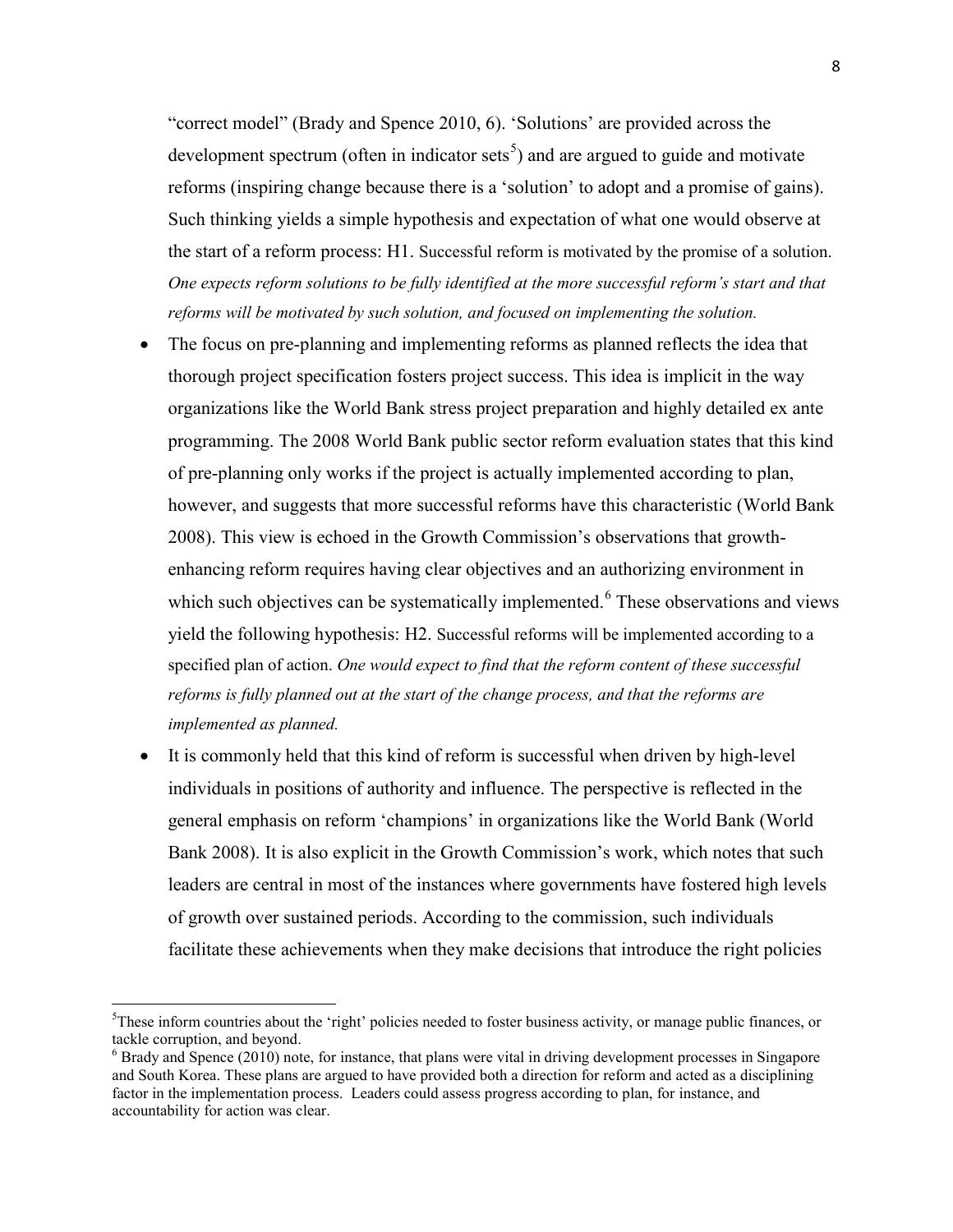"correct model" (Brady and Spence 2010, 6). 'Solutions' are provided across the development spectrum (often in indicator sets<sup>[5](#page-8-0)</sup>) and are argued to guide and motivate reforms (inspiring change because there is a 'solution' to adopt and a promise of gains). Such thinking yields a simple hypothesis and expectation of what one would observe at the start of a reform process: H1. Successful reform is motivated by the promise of a solution. *One expects reform solutions to be fully identified at the more successful reform's start and that reforms will be motivated by such solution, and focused on implementing the solution.*

- The focus on pre-planning and implementing reforms as planned reflects the idea that thorough project specification fosters project success. This idea is implicit in the way organizations like the World Bank stress project preparation and highly detailed ex ante programming. The 2008 World Bank public sector reform evaluation states that this kind of pre-planning only works if the project is actually implemented according to plan, however, and suggests that more successful reforms have this characteristic (World Bank 2008). This view is echoed in the Growth Commission's observations that growthenhancing reform requires having clear objectives and an authorizing environment in which such objectives can be systematically implemented.<sup>[6](#page-8-1)</sup> These observations and views yield the following hypothesis: H2. Successful reforms will be implemented according to a specified plan of action. *One would expect to find that the reform content of these successful reforms is fully planned out at the start of the change process, and that the reforms are implemented as planned.*
- It is commonly held that this kind of reform is successful when driven by high-level individuals in positions of authority and influence. The perspective is reflected in the general emphasis on reform 'champions' in organizations like the World Bank (World Bank 2008). It is also explicit in the Growth Commission's work, which notes that such leaders are central in most of the instances where governments have fostered high levels of growth over sustained periods. According to the commission, such individuals facilitate these achievements when they make decisions that introduce the right policies

<span id="page-8-0"></span>5 <sup>5</sup>These inform countries about the 'right' policies needed to foster business activity, or manage public finances, or tackle corruption, and beyond.

<span id="page-8-1"></span><sup>6</sup> Brady and Spence (2010) note, for instance, that plans were vital in driving development processes in Singapore and South Korea. These plans are argued to have provided both a direction for reform and acted as a disciplining factor in the implementation process. Leaders could assess progress according to plan, for instance, and accountability for action was clear.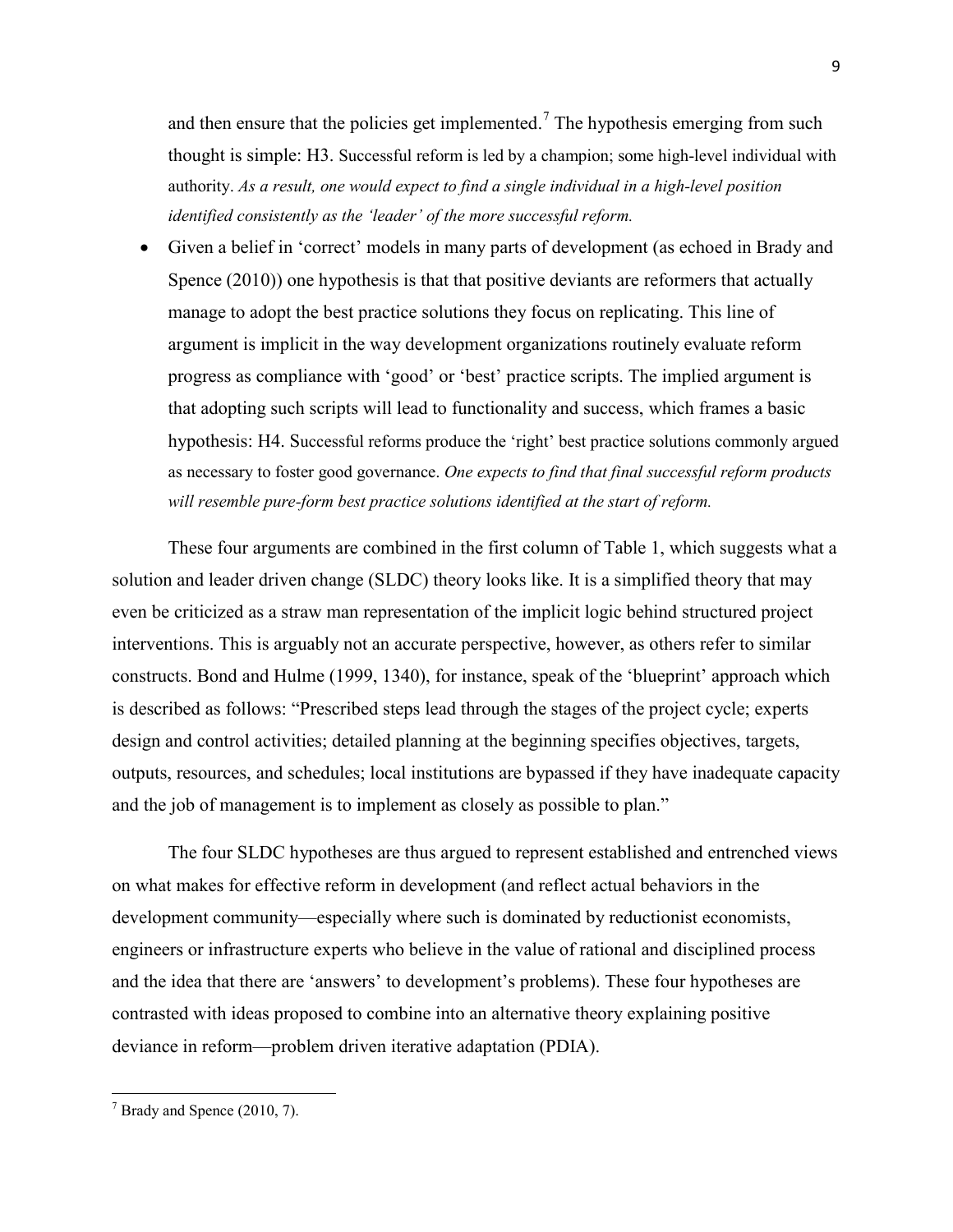and then ensure that the policies get implemented.<sup>[7](#page-9-0)</sup> The hypothesis emerging from such thought is simple: H3. Successful reform is led by a champion; some high-level individual with authority. *As a result, one would expect to find a single individual in a high-level position identified consistently as the 'leader' of the more successful reform.*

• Given a belief in 'correct' models in many parts of development (as echoed in Brady and Spence (2010)) one hypothesis is that that positive deviants are reformers that actually manage to adopt the best practice solutions they focus on replicating. This line of argument is implicit in the way development organizations routinely evaluate reform progress as compliance with 'good' or 'best' practice scripts. The implied argument is that adopting such scripts will lead to functionality and success, which frames a basic hypothesis: H4. Successful reforms produce the 'right' best practice solutions commonly argued as necessary to foster good governance. *One expects to find that final successful reform products will resemble pure-form best practice solutions identified at the start of reform.*

These four arguments are combined in the first column of Table 1, which suggests what a solution and leader driven change (SLDC) theory looks like. It is a simplified theory that may even be criticized as a straw man representation of the implicit logic behind structured project interventions. This is arguably not an accurate perspective, however, as others refer to similar constructs. Bond and Hulme (1999, 1340), for instance, speak of the 'blueprint' approach which is described as follows: "Prescribed steps lead through the stages of the project cycle; experts design and control activities; detailed planning at the beginning specifies objectives, targets, outputs, resources, and schedules; local institutions are bypassed if they have inadequate capacity and the job of management is to implement as closely as possible to plan."

The four SLDC hypotheses are thus argued to represent established and entrenched views on what makes for effective reform in development (and reflect actual behaviors in the development community—especially where such is dominated by reductionist economists, engineers or infrastructure experts who believe in the value of rational and disciplined process and the idea that there are 'answers' to development's problems). These four hypotheses are contrasted with ideas proposed to combine into an alternative theory explaining positive deviance in reform—problem driven iterative adaptation (PDIA).

<span id="page-9-0"></span> $<sup>7</sup>$  Brady and Spence (2010, 7).</sup>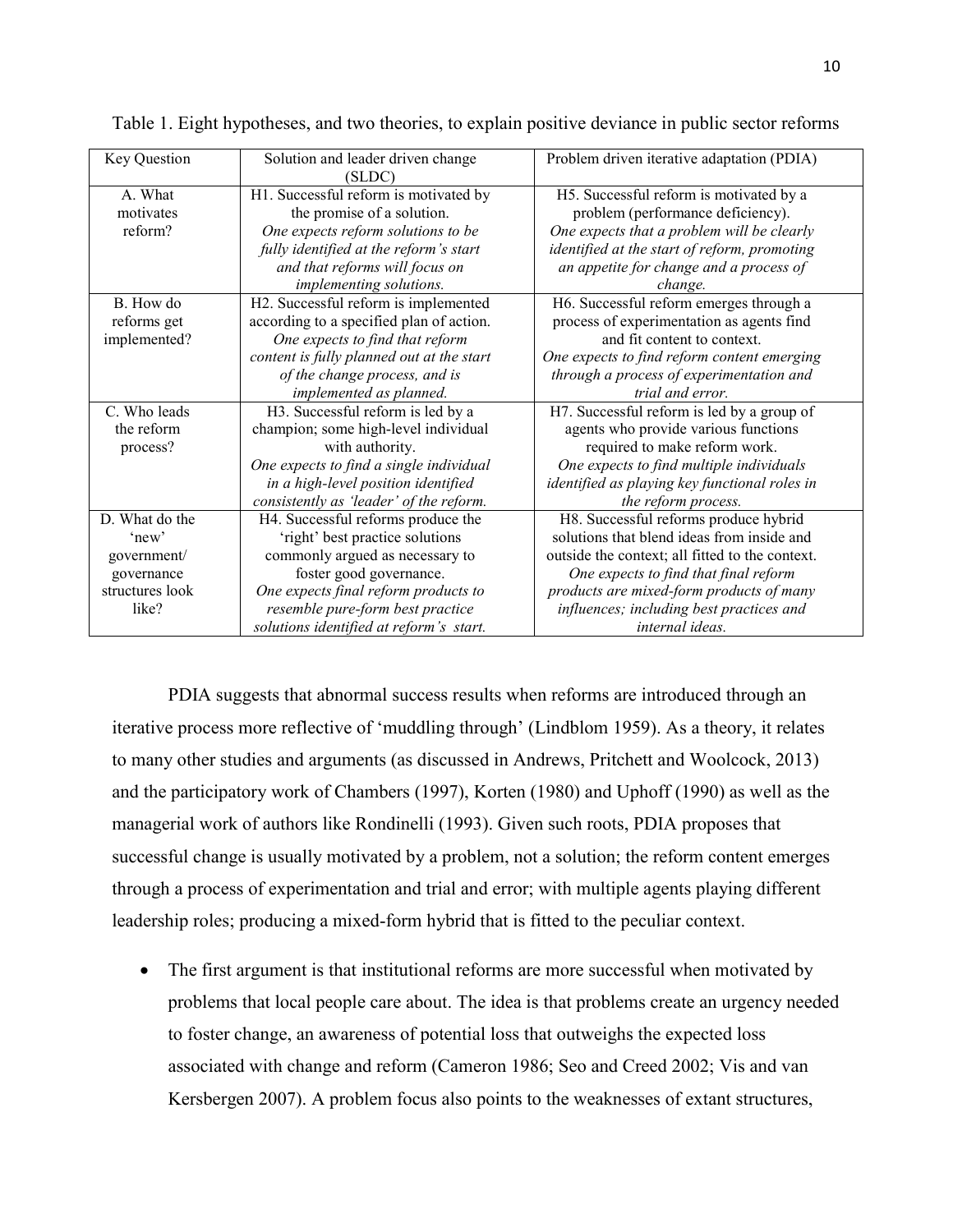| <b>Key Question</b> | Solution and leader driven change         | Problem driven iterative adaptation (PDIA)      |  |  |  |
|---------------------|-------------------------------------------|-------------------------------------------------|--|--|--|
|                     | (SLDC)                                    |                                                 |  |  |  |
| A. What             | H1. Successful reform is motivated by     | H5. Successful reform is motivated by a         |  |  |  |
| motivates           | the promise of a solution.                | problem (performance deficiency).               |  |  |  |
| reform?             | One expects reform solutions to be        | One expects that a problem will be clearly      |  |  |  |
|                     | fully identified at the reform's start    | identified at the start of reform, promoting    |  |  |  |
|                     | and that reforms will focus on            | an appetite for change and a process of         |  |  |  |
|                     | implementing solutions.                   | change.                                         |  |  |  |
| B How do            | H2. Successful reform is implemented      | H6. Successful reform emerges through a         |  |  |  |
| reforms get         | according to a specified plan of action.  | process of experimentation as agents find       |  |  |  |
| implemented?        | One expects to find that reform           | and fit content to context.                     |  |  |  |
|                     | content is fully planned out at the start | One expects to find reform content emerging     |  |  |  |
|                     | of the change process, and is             | through a process of experimentation and        |  |  |  |
|                     | implemented as planned.                   | trial and error.                                |  |  |  |
| C. Who leads        | H3. Successful reform is led by a         | H7. Successful reform is led by a group of      |  |  |  |
| the reform          | champion; some high-level individual      | agents who provide various functions            |  |  |  |
| process?            | with authority.                           | required to make reform work.                   |  |  |  |
|                     | One expects to find a single individual   | One expects to find multiple individuals        |  |  |  |
|                     | in a high-level position identified       | identified as playing key functional roles in   |  |  |  |
|                     | consistently as 'leader' of the reform.   | the reform process.                             |  |  |  |
| D. What do the      | H4. Successful reforms produce the        | H8. Successful reforms produce hybrid           |  |  |  |
| 'new'               | 'right' best practice solutions           | solutions that blend ideas from inside and      |  |  |  |
| government/         | commonly argued as necessary to           | outside the context; all fitted to the context. |  |  |  |
| governance          | foster good governance.                   | One expects to find that final reform           |  |  |  |
| structures look     | One expects final reform products to      | products are mixed-form products of many        |  |  |  |
| like?               | resemble pure-form best practice          | influences; including best practices and        |  |  |  |
|                     | solutions identified at reform's start.   | internal ideas.                                 |  |  |  |

Table 1. Eight hypotheses, and two theories, to explain positive deviance in public sector reforms

PDIA suggests that abnormal success results when reforms are introduced through an iterative process more reflective of 'muddling through' (Lindblom 1959). As a theory, it relates to many other studies and arguments (as discussed in Andrews, Pritchett and Woolcock, 2013) and the participatory work of Chambers (1997), Korten (1980) and Uphoff (1990) as well as the managerial work of authors like Rondinelli (1993). Given such roots, PDIA proposes that successful change is usually motivated by a problem, not a solution; the reform content emerges through a process of experimentation and trial and error; with multiple agents playing different leadership roles; producing a mixed-form hybrid that is fitted to the peculiar context.

• The first argument is that institutional reforms are more successful when motivated by problems that local people care about. The idea is that problems create an urgency needed to foster change, an awareness of potential loss that outweighs the expected loss associated with change and reform (Cameron 1986; Seo and Creed 2002; Vis and van Kersbergen 2007). A problem focus also points to the weaknesses of extant structures,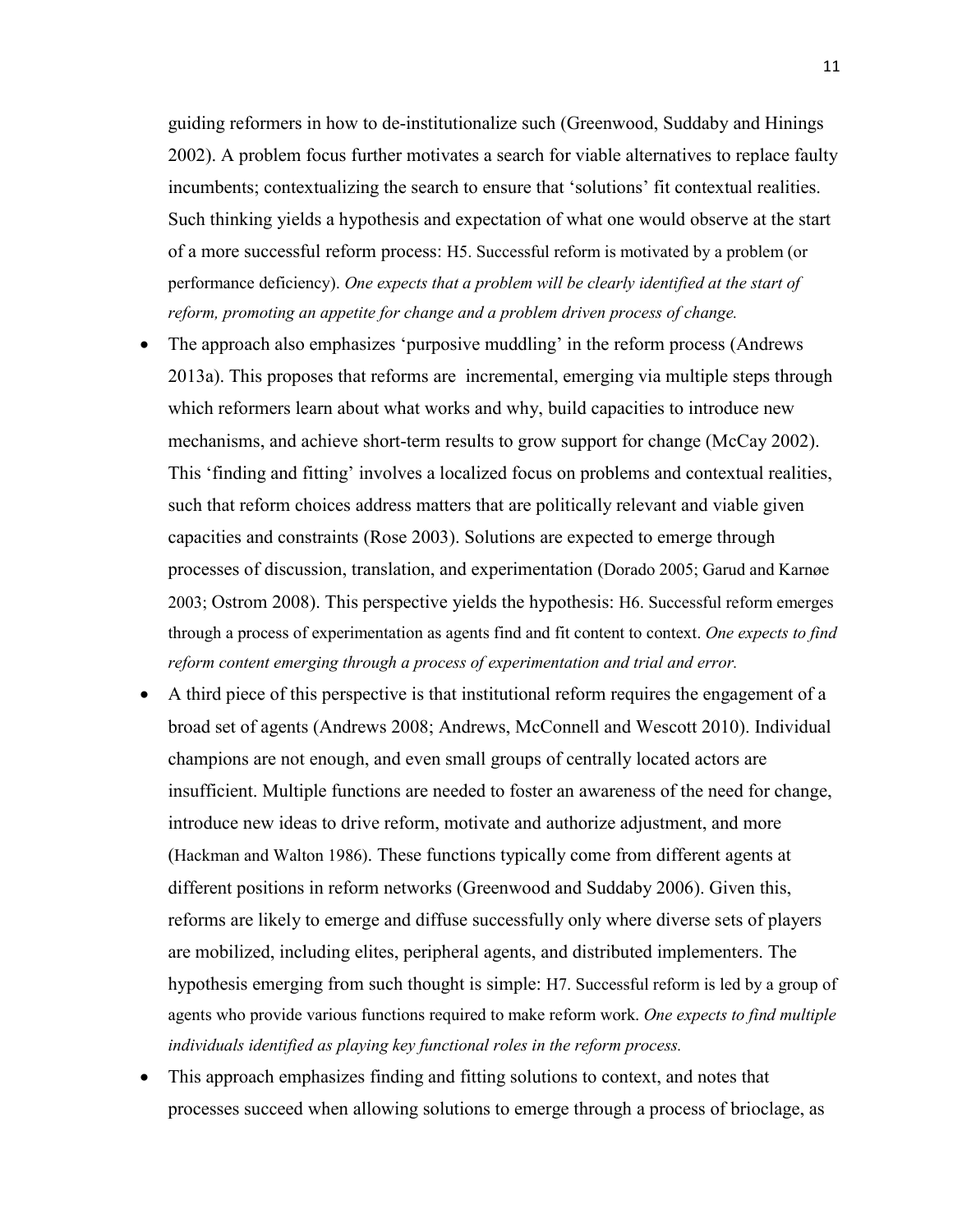guiding reformers in how to de-institutionalize such (Greenwood, Suddaby and Hinings 2002). A problem focus further motivates a search for viable alternatives to replace faulty incumbents; contextualizing the search to ensure that 'solutions' fit contextual realities. Such thinking yields a hypothesis and expectation of what one would observe at the start of a more successful reform process: H5. Successful reform is motivated by a problem (or performance deficiency). *One expects that a problem will be clearly identified at the start of reform, promoting an appetite for change and a problem driven process of change.*

- The approach also emphasizes 'purposive muddling' in the reform process (Andrews 2013a). This proposes that reforms are incremental, emerging via multiple steps through which reformers learn about what works and why, build capacities to introduce new mechanisms, and achieve short-term results to grow support for change (McCay 2002). This 'finding and fitting' involves a localized focus on problems and contextual realities, such that reform choices address matters that are politically relevant and viable given capacities and constraints (Rose 2003). Solutions are expected to emerge through processes of discussion, translation, and experimentation (Dorado 2005; Garud and Karnøe 2003; Ostrom 2008). This perspective yields the hypothesis: H6. Successful reform emerges through a process of experimentation as agents find and fit content to context. *One expects to find reform content emerging through a process of experimentation and trial and error.*
- A third piece of this perspective is that institutional reform requires the engagement of a broad set of agents (Andrews 2008; Andrews, McConnell and Wescott 2010). Individual champions are not enough, and even small groups of centrally located actors are insufficient. Multiple functions are needed to foster an awareness of the need for change, introduce new ideas to drive reform, motivate and authorize adjustment, and more (Hackman and Walton 1986). These functions typically come from different agents at different positions in reform networks (Greenwood and Suddaby 2006). Given this, reforms are likely to emerge and diffuse successfully only where diverse sets of players are mobilized, including elites, peripheral agents, and distributed implementers. The hypothesis emerging from such thought is simple: H7. Successful reform is led by a group of agents who provide various functions required to make reform work. *One expects to find multiple individuals identified as playing key functional roles in the reform process.*
- This approach emphasizes finding and fitting solutions to context, and notes that processes succeed when allowing solutions to emerge through a process of brioclage, as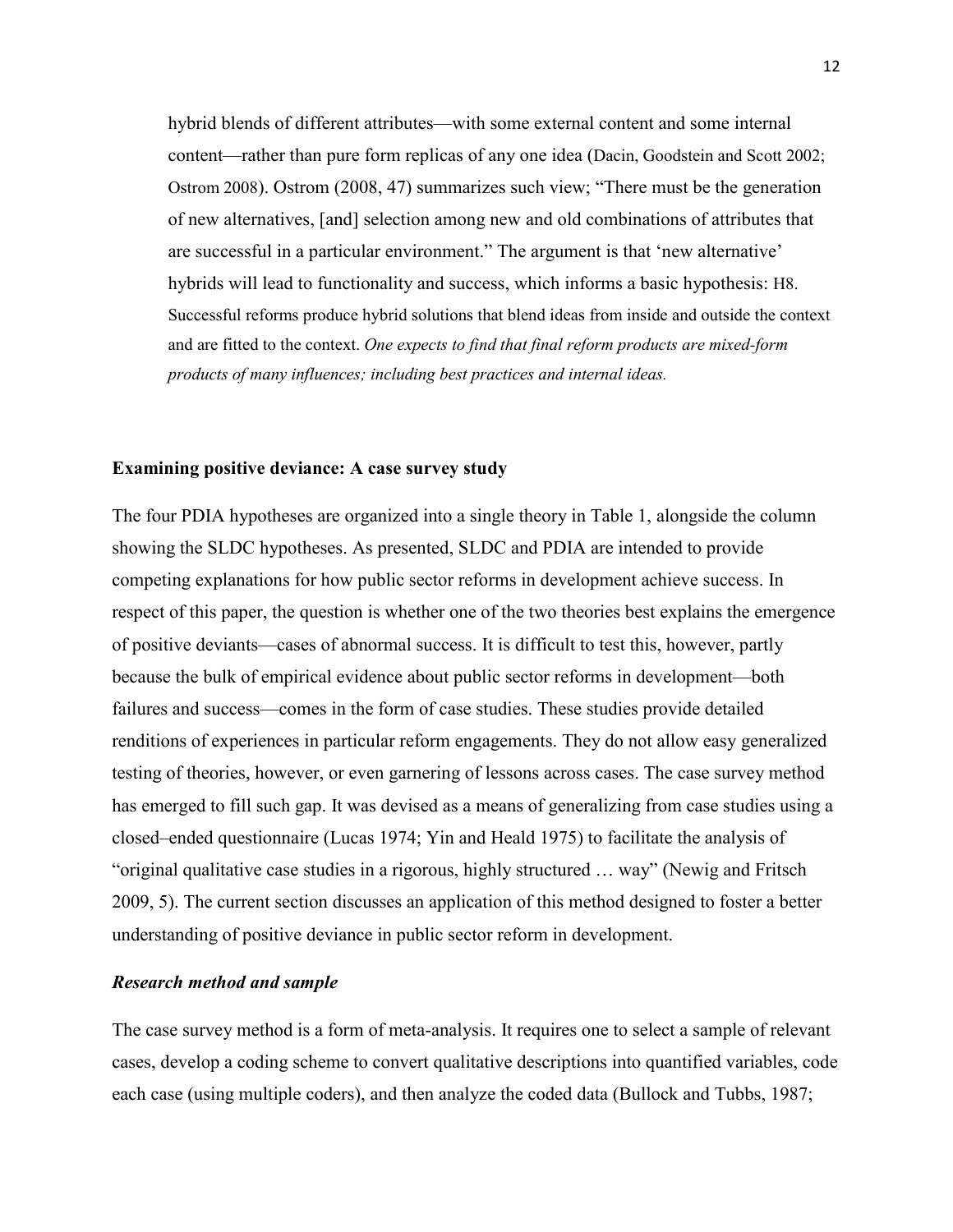hybrid blends of different attributes—with some external content and some internal content—rather than pure form replicas of any one idea (Dacin, Goodstein and Scott 2002; Ostrom 2008). Ostrom (2008, 47) summarizes such view; "There must be the generation of new alternatives, [and] selection among new and old combinations of attributes that are successful in a particular environment." The argument is that 'new alternative' hybrids will lead to functionality and success, which informs a basic hypothesis: H8. Successful reforms produce hybrid solutions that blend ideas from inside and outside the context and are fitted to the context. *One expects to find that final reform products are mixed-form products of many influences; including best practices and internal ideas.*

#### **Examining positive deviance: A case survey study**

The four PDIA hypotheses are organized into a single theory in Table 1, alongside the column showing the SLDC hypotheses. As presented, SLDC and PDIA are intended to provide competing explanations for how public sector reforms in development achieve success. In respect of this paper, the question is whether one of the two theories best explains the emergence of positive deviants—cases of abnormal success. It is difficult to test this, however, partly because the bulk of empirical evidence about public sector reforms in development—both failures and success—comes in the form of case studies. These studies provide detailed renditions of experiences in particular reform engagements. They do not allow easy generalized testing of theories, however, or even garnering of lessons across cases. The case survey method has emerged to fill such gap. It was devised as a means of generalizing from case studies using a closed–ended questionnaire (Lucas 1974; Yin and Heald 1975) to facilitate the analysis of "original qualitative case studies in a rigorous, highly structured … way" (Newig and Fritsch 2009, 5). The current section discusses an application of this method designed to foster a better understanding of positive deviance in public sector reform in development.

#### *Research method and sample*

The case survey method is a form of meta-analysis. It requires one to select a sample of relevant cases, develop a coding scheme to convert qualitative descriptions into quantified variables, code each case (using multiple coders), and then analyze the coded data (Bullock and Tubbs, 1987;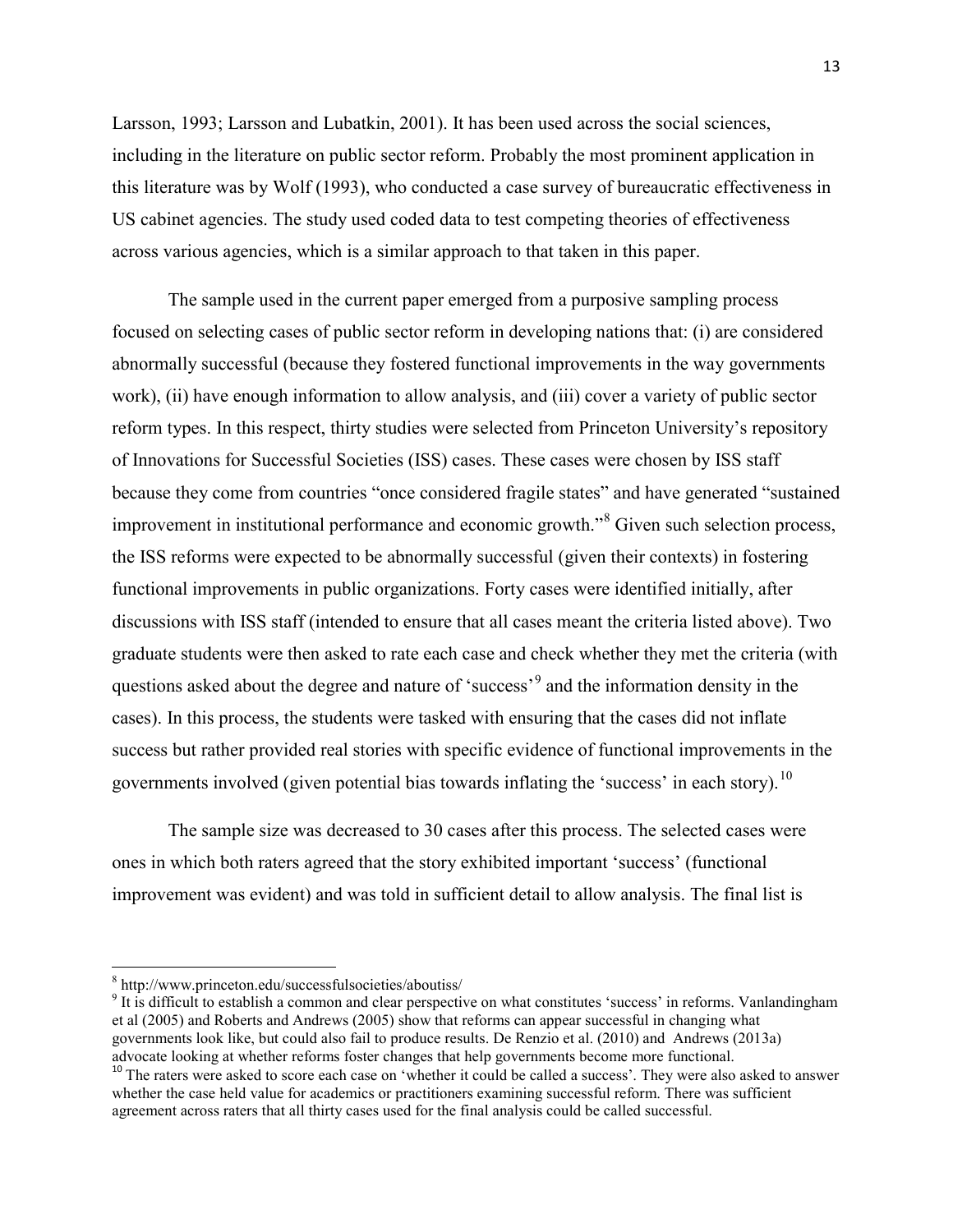Larsson, 1993; Larsson and Lubatkin, 2001). It has been used across the social sciences, including in the literature on public sector reform. Probably the most prominent application in this literature was by Wolf (1993), who conducted a case survey of bureaucratic effectiveness in US cabinet agencies. The study used coded data to test competing theories of effectiveness across various agencies, which is a similar approach to that taken in this paper.

The sample used in the current paper emerged from a purposive sampling process focused on selecting cases of public sector reform in developing nations that: (i) are considered abnormally successful (because they fostered functional improvements in the way governments work), (ii) have enough information to allow analysis, and (iii) cover a variety of public sector reform types. In this respect, thirty studies were selected from Princeton University's repository of Innovations for Successful Societies (ISS) cases. These cases were chosen by ISS staff because they come from countries "once considered fragile states" and have generated "sustained improvement in institutional performance and economic growth.<sup>[8](#page-13-0)</sup> Given such selection process, the ISS reforms were expected to be abnormally successful (given their contexts) in fostering functional improvements in public organizations. Forty cases were identified initially, after discussions with ISS staff (intended to ensure that all cases meant the criteria listed above). Two graduate students were then asked to rate each case and check whether they met the criteria (with questions asked about the degree and nature of 'success'[9](#page-13-1) and the information density in the cases). In this process, the students were tasked with ensuring that the cases did not inflate success but rather provided real stories with specific evidence of functional improvements in the governments involved (given potential bias towards inflating the 'success' in each story).<sup>[10](#page-13-2)</sup>

The sample size was decreased to 30 cases after this process. The selected cases were ones in which both raters agreed that the story exhibited important 'success' (functional improvement was evident) and was told in sufficient detail to allow analysis. The final list is

<span id="page-13-0"></span><sup>8</sup> http://www.princeton.edu/successfulsocieties/aboutiss/

<span id="page-13-1"></span><sup>&</sup>lt;sup>9</sup> It is difficult to establish a common and clear perspective on what constitutes 'success' in reforms. Vanlandingham et al (2005) and Roberts and Andrews (2005) show that reforms can appear successful in changing what governments look like, but could also fail to produce results. De Renzio et al. (2010) and Andrews (2013a) advocate looking at whether reforms foster changes that help governments become more functional.<br><sup>10</sup> The raters were asked to score each case on 'whether it could be called a success'. They were also asked to answer

<span id="page-13-2"></span>whether the case held value for academics or practitioners examining successful reform. There was sufficient agreement across raters that all thirty cases used for the final analysis could be called successful.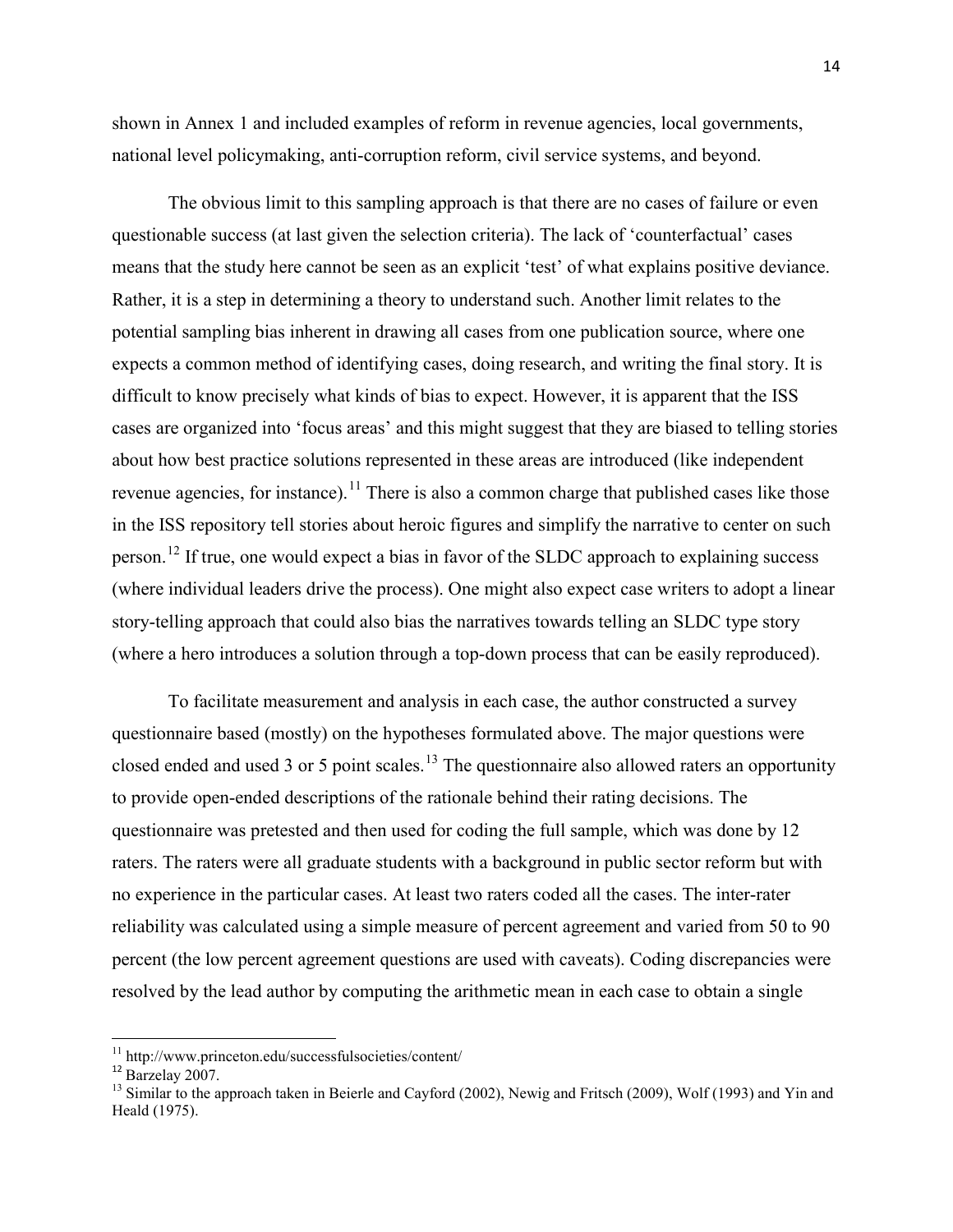shown in Annex 1 and included examples of reform in revenue agencies, local governments, national level policymaking, anti-corruption reform, civil service systems, and beyond.

The obvious limit to this sampling approach is that there are no cases of failure or even questionable success (at last given the selection criteria). The lack of 'counterfactual' cases means that the study here cannot be seen as an explicit 'test' of what explains positive deviance. Rather, it is a step in determining a theory to understand such. Another limit relates to the potential sampling bias inherent in drawing all cases from one publication source, where one expects a common method of identifying cases, doing research, and writing the final story. It is difficult to know precisely what kinds of bias to expect. However, it is apparent that the ISS cases are organized into 'focus areas' and this might suggest that they are biased to telling stories about how best practice solutions represented in these areas are introduced (like independent revenue agencies, for instance).<sup>[11](#page-14-0)</sup> There is also a common charge that published cases like those in the ISS repository tell stories about heroic figures and simplify the narrative to center on such person.<sup>[12](#page-14-1)</sup> If true, one would expect a bias in favor of the SLDC approach to explaining success (where individual leaders drive the process). One might also expect case writers to adopt a linear story-telling approach that could also bias the narratives towards telling an SLDC type story (where a hero introduces a solution through a top-down process that can be easily reproduced).

To facilitate measurement and analysis in each case, the author constructed a survey questionnaire based (mostly) on the hypotheses formulated above. The major questions were closed ended and used 3 or 5 point scales.<sup>[13](#page-14-2)</sup> The questionnaire also allowed raters an opportunity to provide open-ended descriptions of the rationale behind their rating decisions. The questionnaire was pretested and then used for coding the full sample, which was done by 12 raters. The raters were all graduate students with a background in public sector reform but with no experience in the particular cases. At least two raters coded all the cases. The inter-rater reliability was calculated using a simple measure of percent agreement and varied from 50 to 90 percent (the low percent agreement questions are used with caveats). Coding discrepancies were resolved by the lead author by computing the arithmetic mean in each case to obtain a single

<span id="page-14-0"></span>

<span id="page-14-2"></span><span id="page-14-1"></span>

<sup>&</sup>lt;sup>11</sup> http://www.princeton.edu/successfulsocieties/content/<br><sup>12</sup> Barzelay 2007.<br><sup>13</sup> Similar to the approach taken in Beierle and Cayford (2002), Newig and Fritsch (2009), Wolf (1993) and Yin and Heald (1975).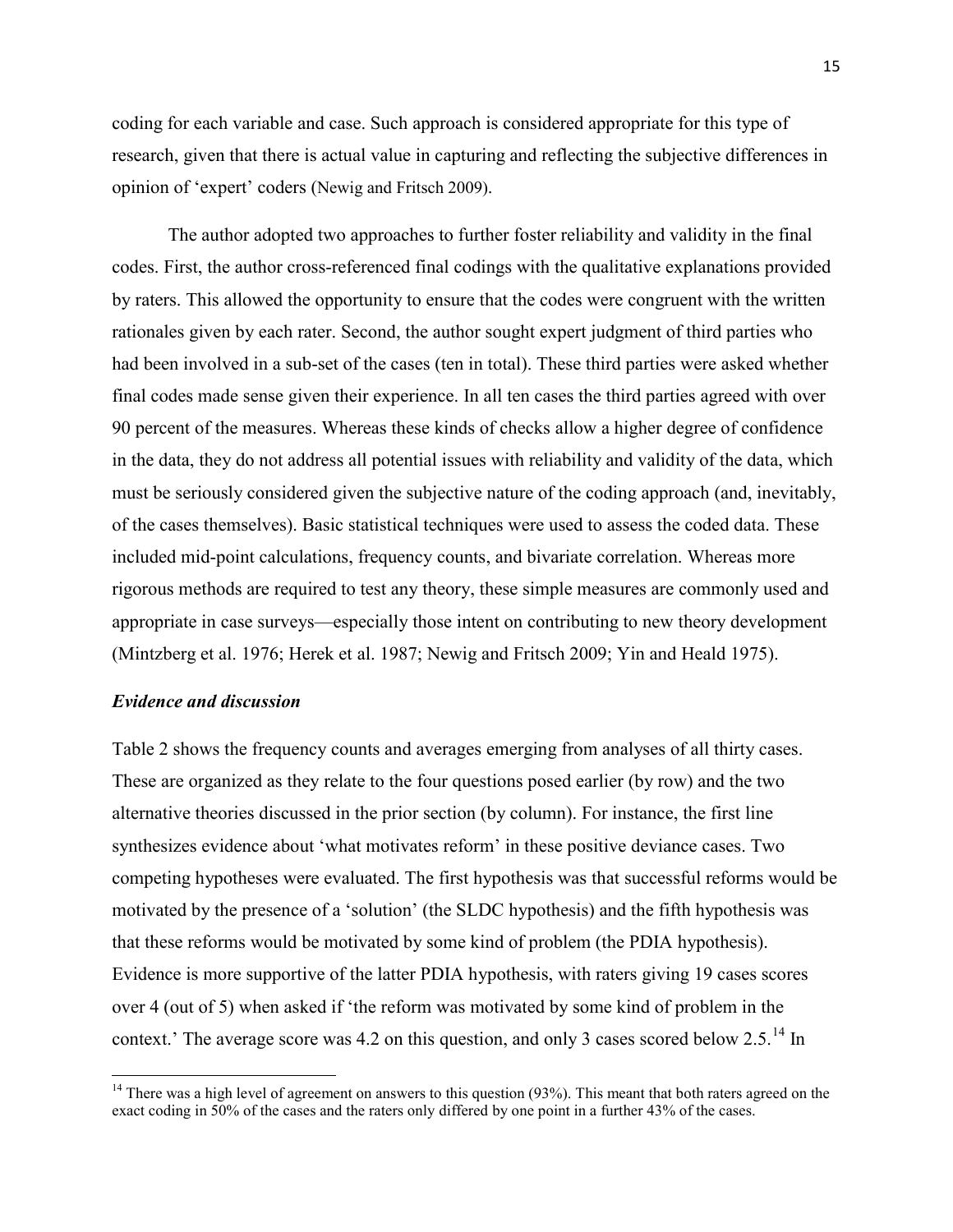coding for each variable and case. Such approach is considered appropriate for this type of research, given that there is actual value in capturing and reflecting the subjective differences in opinion of 'expert' coders (Newig and Fritsch 2009).

The author adopted two approaches to further foster reliability and validity in the final codes. First, the author cross-referenced final codings with the qualitative explanations provided by raters. This allowed the opportunity to ensure that the codes were congruent with the written rationales given by each rater. Second, the author sought expert judgment of third parties who had been involved in a sub-set of the cases (ten in total). These third parties were asked whether final codes made sense given their experience. In all ten cases the third parties agreed with over 90 percent of the measures. Whereas these kinds of checks allow a higher degree of confidence in the data, they do not address all potential issues with reliability and validity of the data, which must be seriously considered given the subjective nature of the coding approach (and, inevitably, of the cases themselves). Basic statistical techniques were used to assess the coded data. These included mid-point calculations, frequency counts, and bivariate correlation. Whereas more rigorous methods are required to test any theory, these simple measures are commonly used and appropriate in case surveys—especially those intent on contributing to new theory development (Mintzberg et al. 1976; Herek et al. 1987; Newig and Fritsch 2009; Yin and Heald 1975).

## *Evidence and discussion*

Table 2 shows the frequency counts and averages emerging from analyses of all thirty cases. These are organized as they relate to the four questions posed earlier (by row) and the two alternative theories discussed in the prior section (by column). For instance, the first line synthesizes evidence about 'what motivates reform' in these positive deviance cases. Two competing hypotheses were evaluated. The first hypothesis was that successful reforms would be motivated by the presence of a 'solution' (the SLDC hypothesis) and the fifth hypothesis was that these reforms would be motivated by some kind of problem (the PDIA hypothesis). Evidence is more supportive of the latter PDIA hypothesis, with raters giving 19 cases scores over 4 (out of 5) when asked if 'the reform was motivated by some kind of problem in the context.' The average score was 4.2 on this question, and only 3 cases scored below 2.5.<sup>[14](#page-15-0)</sup> In

<span id="page-15-0"></span> $14$  There was a high level of agreement on answers to this question (93%). This meant that both raters agreed on the exact coding in 50% of the cases and the raters only differed by one point in a further 43% of the cases.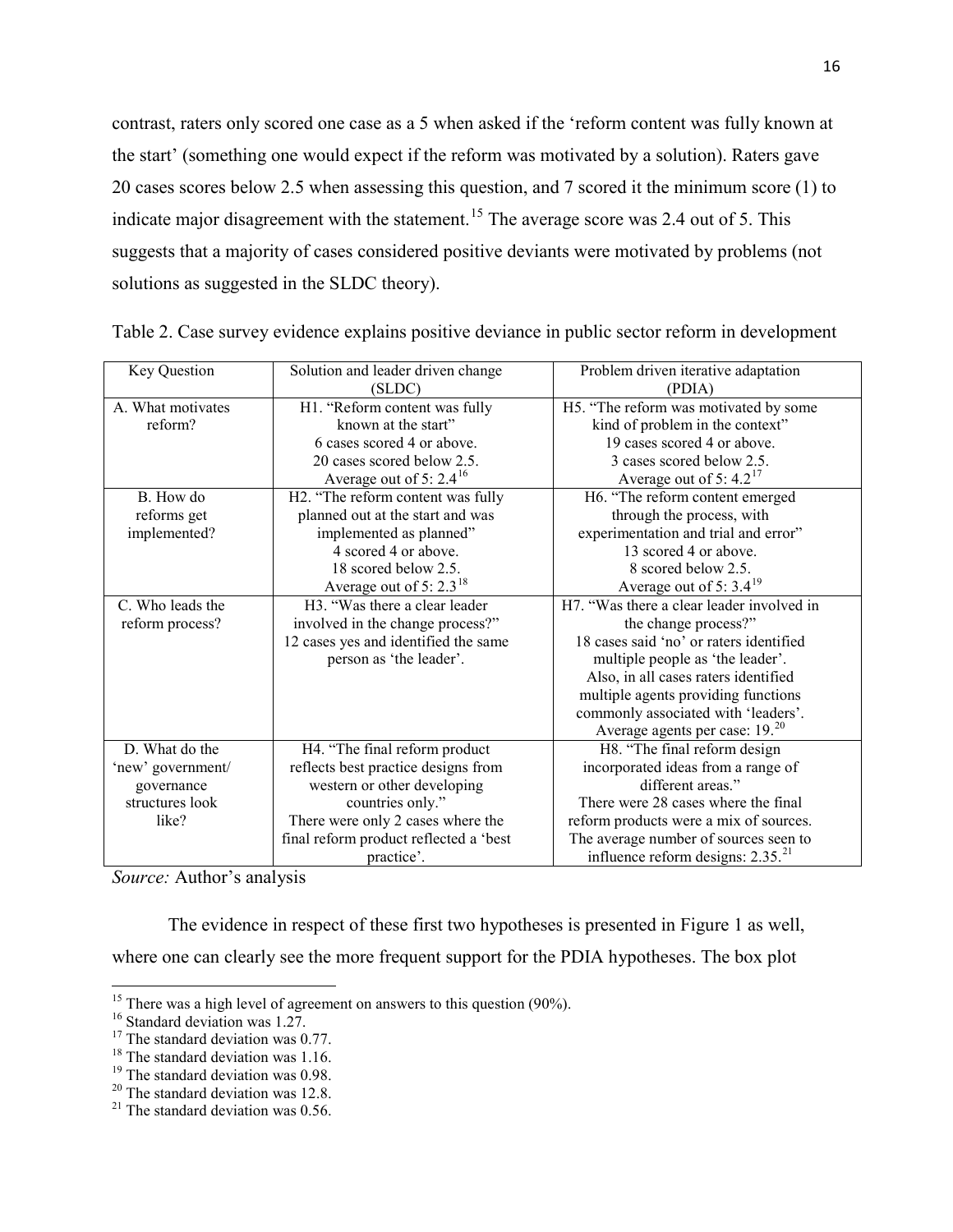contrast, raters only scored one case as a 5 when asked if the 'reform content was fully known at the start' (something one would expect if the reform was motivated by a solution). Raters gave 20 cases scores below 2.5 when assessing this question, and 7 scored it the minimum score (1) to indicate major disagreement with the statement.<sup>[15](#page-16-0)</sup> The average score was 2.4 out of 5. This suggests that a majority of cases considered positive deviants were motivated by problems (not solutions as suggested in the SLDC theory).

| Key Question      | Solution and leader driven change              | Problem driven iterative adaptation        |  |  |
|-------------------|------------------------------------------------|--------------------------------------------|--|--|
|                   | (SLDC)                                         | (PDIA)                                     |  |  |
| A. What motivates | H1. "Reform content was fully                  | H5. "The reform was motivated by some      |  |  |
| reform?           | known at the start"                            | kind of problem in the context"            |  |  |
|                   | 6 cases scored 4 or above.                     | 19 cases scored 4 or above.                |  |  |
|                   | 20 cases scored below 2.5.                     | 3 cases scored below 2.5.                  |  |  |
|                   | Average out of 5: $2.4^{16}$                   | Average out of 5: $4.2^{17}$               |  |  |
| B. How do         | H <sub>2</sub> . "The reform content was fully | H6. "The reform content emerged            |  |  |
| reforms get       | planned out at the start and was               | through the process, with                  |  |  |
| implemented?      | implemented as planned"                        | experimentation and trial and error"       |  |  |
|                   | 4 scored 4 or above.                           | 13 scored 4 or above.                      |  |  |
|                   | 18 scored below 2.5.                           | 8 scored below 2.5.                        |  |  |
|                   | Average out of 5: $2.3^{18}$                   | Average out of 5: $3.4^{19}$               |  |  |
| C. Who leads the  | H3. "Was there a clear leader                  | H7. "Was there a clear leader involved in  |  |  |
| reform process?   | involved in the change process?"               | the change process?"                       |  |  |
|                   | 12 cases yes and identified the same           | 18 cases said 'no' or raters identified    |  |  |
|                   | person as 'the leader'.                        | multiple people as 'the leader'.           |  |  |
|                   |                                                | Also, in all cases raters identified       |  |  |
|                   |                                                | multiple agents providing functions        |  |  |
|                   |                                                | commonly associated with 'leaders'.        |  |  |
|                   |                                                | Average agents per case: 19. <sup>20</sup> |  |  |
| D. What do the    | H4. "The final reform product                  | H8. "The final reform design               |  |  |
| 'new' government/ | reflects best practice designs from            | incorporated ideas from a range of         |  |  |
| governance        | western or other developing                    | different areas."                          |  |  |
| structures look   | countries only."                               | There were 28 cases where the final        |  |  |
| like?             | There were only 2 cases where the              | reform products were a mix of sources.     |  |  |
|                   | final reform product reflected a 'best         | The average number of sources seen to      |  |  |
|                   | practice'.                                     | influence reform designs: $2.35.^{21}$     |  |  |

|  | Table 2. Case survey evidence explains positive deviance in public sector reform in development |  |  |  |  |
|--|-------------------------------------------------------------------------------------------------|--|--|--|--|
|  |                                                                                                 |  |  |  |  |

*Source:* Author's analysis

The evidence in respect of these first two hypotheses is presented in Figure 1 as well,

where one can clearly see the more frequent support for the PDIA hypotheses. The box plot

<span id="page-16-0"></span><sup>&</sup>lt;sup>15</sup> There was a high level of agreement on answers to this question (90%).<br><sup>16</sup> Standard deviation was 1.27.<br><sup>17</sup> The standard deviation was 0.77.<br><sup>18</sup> The standard deviation was 1.16.<br><sup>19</sup> The standard deviation was 0.9

<span id="page-16-1"></span>

<span id="page-16-2"></span>

<span id="page-16-3"></span>

<span id="page-16-4"></span>

<span id="page-16-5"></span>

<span id="page-16-6"></span>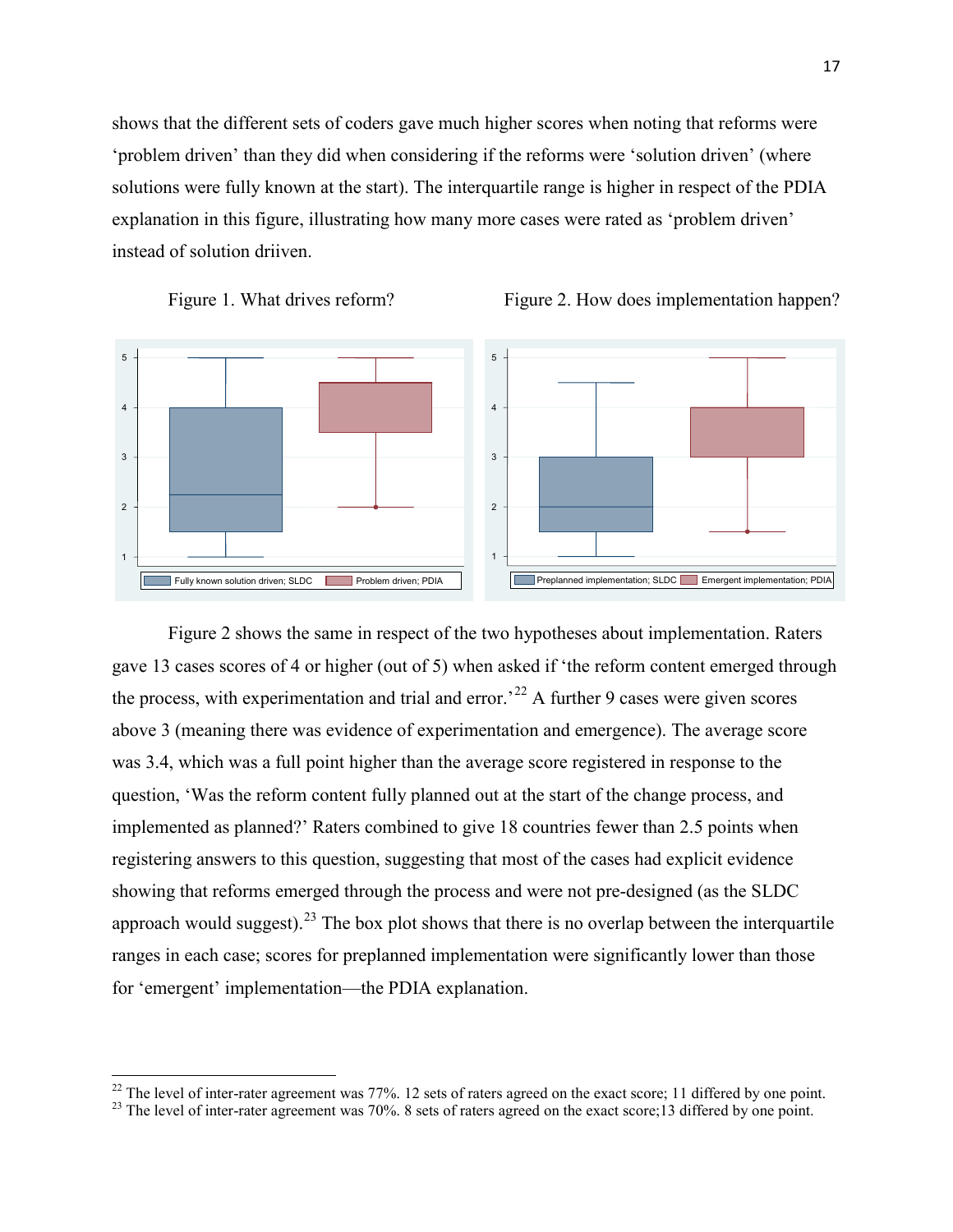shows that the different sets of coders gave much higher scores when noting that reforms were 'problem driven' than they did when considering if the reforms were 'solution driven' (where solutions were fully known at the start). The interquartile range is higher in respect of the PDIA explanation in this figure, illustrating how many more cases were rated as 'problem driven' instead of solution driiven.







Figure 2 shows the same in respect of the two hypotheses about implementation. Raters gave 13 cases scores of 4 or higher (out of 5) when asked if 'the reform content emerged through the process, with experimentation and trial and error.<sup>[22](#page-17-0)</sup> A further 9 cases were given scores above 3 (meaning there was evidence of experimentation and emergence). The average score was 3.4, which was a full point higher than the average score registered in response to the question, 'Was the reform content fully planned out at the start of the change process, and implemented as planned?' Raters combined to give 18 countries fewer than 2.5 points when registering answers to this question, suggesting that most of the cases had explicit evidence showing that reforms emerged through the process and were not pre-designed (as the SLDC approach would suggest).<sup>[23](#page-17-1)</sup> The box plot shows that there is no overlap between the interquartile ranges in each case; scores for preplanned implementation were significantly lower than those for 'emergent' implementation—the PDIA explanation.

<span id="page-17-1"></span><span id="page-17-0"></span><sup>&</sup>lt;sup>22</sup> The level of inter-rater agreement was 77%. 12 sets of raters agreed on the exact score; 11 differed by one point.<br><sup>23</sup> The level of inter-rater agreement was 70%. 8 sets of raters agreed on the exact score; 13 diffe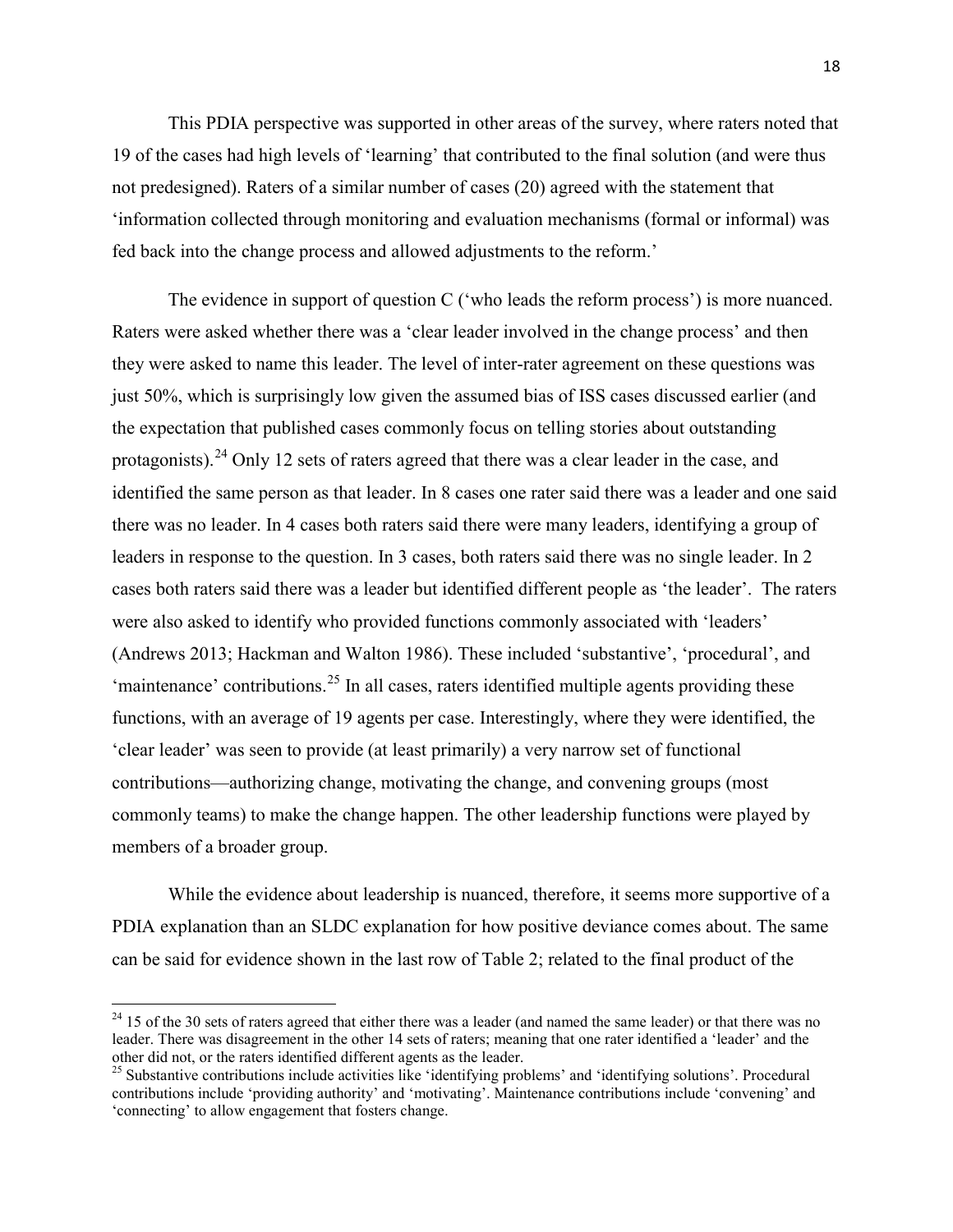This PDIA perspective was supported in other areas of the survey, where raters noted that 19 of the cases had high levels of 'learning' that contributed to the final solution (and were thus not predesigned). Raters of a similar number of cases (20) agreed with the statement that 'information collected through monitoring and evaluation mechanisms (formal or informal) was fed back into the change process and allowed adjustments to the reform.'

The evidence in support of question C ('who leads the reform process') is more nuanced. Raters were asked whether there was a 'clear leader involved in the change process' and then they were asked to name this leader. The level of inter-rater agreement on these questions was just 50%, which is surprisingly low given the assumed bias of ISS cases discussed earlier (and the expectation that published cases commonly focus on telling stories about outstanding protagonists).<sup>[24](#page-18-0)</sup> Only 12 sets of raters agreed that there was a clear leader in the case, and identified the same person as that leader. In 8 cases one rater said there was a leader and one said there was no leader. In 4 cases both raters said there were many leaders, identifying a group of leaders in response to the question. In 3 cases, both raters said there was no single leader. In 2 cases both raters said there was a leader but identified different people as 'the leader'. The raters were also asked to identify who provided functions commonly associated with 'leaders' (Andrews 2013; Hackman and Walton 1986). These included 'substantive', 'procedural', and 'maintenance' contributions.<sup>[25](#page-18-1)</sup> In all cases, raters identified multiple agents providing these functions, with an average of 19 agents per case. Interestingly, where they were identified, the 'clear leader' was seen to provide (at least primarily) a very narrow set of functional contributions—authorizing change, motivating the change, and convening groups (most commonly teams) to make the change happen. The other leadership functions were played by members of a broader group.

While the evidence about leadership is nuanced, therefore, it seems more supportive of a PDIA explanation than an SLDC explanation for how positive deviance comes about. The same can be said for evidence shown in the last row of Table 2; related to the final product of the

<span id="page-18-0"></span> $^{24}$  15 of the 30 sets of raters agreed that either there was a leader (and named the same leader) or that there was no leader. There was disagreement in the other 14 sets of raters; meaning that one rater identified a 'leader' and the other did not, or the raters identified different agents as the leader.

<span id="page-18-1"></span> $25$  Substantive contributions include activities like 'identifying problems' and 'identifying solutions'. Procedural contributions include 'providing authority' and 'motivating'. Maintenance contributions include 'convening' and 'connecting' to allow engagement that fosters change.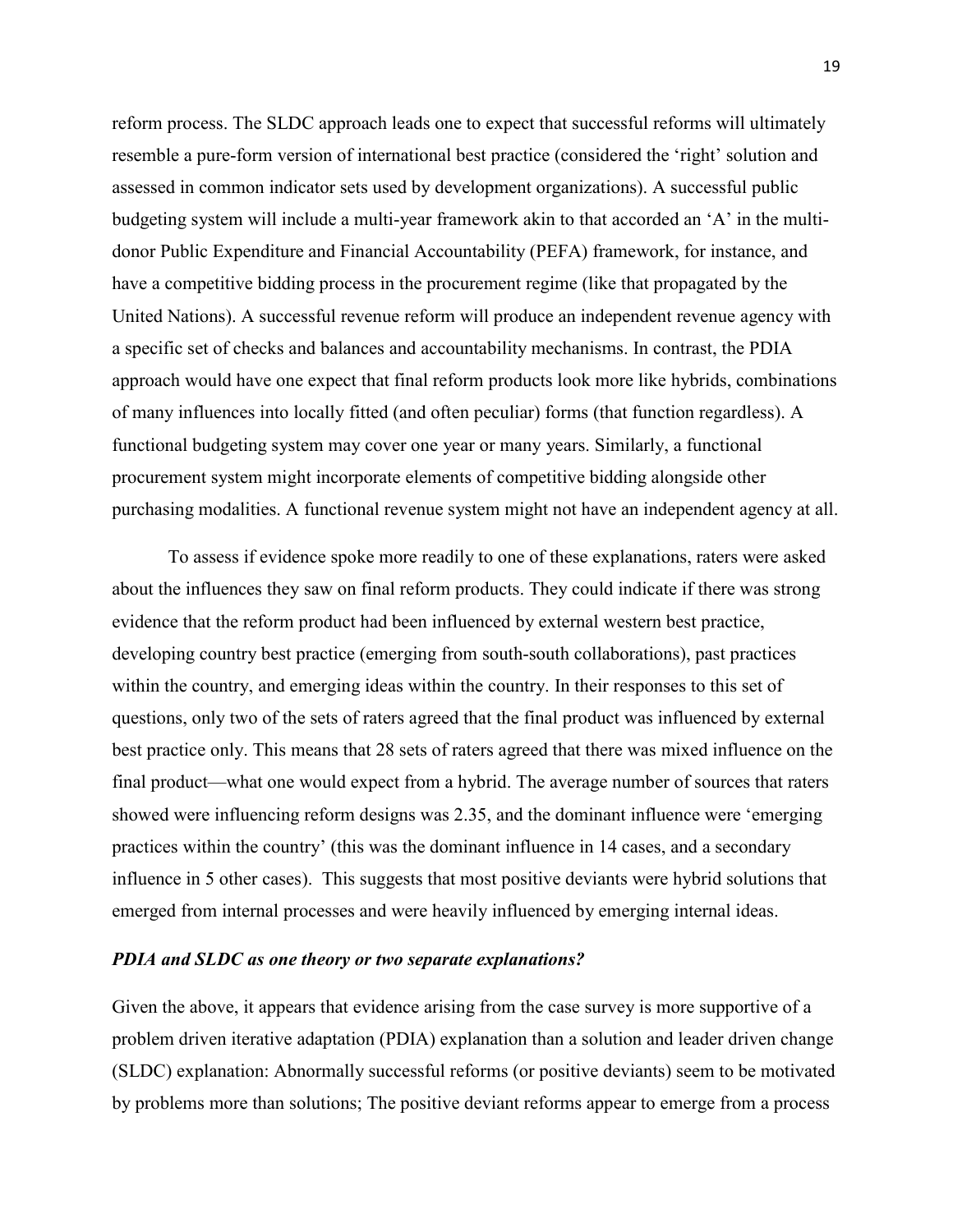reform process. The SLDC approach leads one to expect that successful reforms will ultimately resemble a pure-form version of international best practice (considered the 'right' solution and assessed in common indicator sets used by development organizations). A successful public budgeting system will include a multi-year framework akin to that accorded an 'A' in the multidonor Public Expenditure and Financial Accountability (PEFA) framework, for instance, and have a competitive bidding process in the procurement regime (like that propagated by the United Nations). A successful revenue reform will produce an independent revenue agency with a specific set of checks and balances and accountability mechanisms. In contrast, the PDIA approach would have one expect that final reform products look more like hybrids, combinations of many influences into locally fitted (and often peculiar) forms (that function regardless). A functional budgeting system may cover one year or many years. Similarly, a functional procurement system might incorporate elements of competitive bidding alongside other purchasing modalities. A functional revenue system might not have an independent agency at all.

To assess if evidence spoke more readily to one of these explanations, raters were asked about the influences they saw on final reform products. They could indicate if there was strong evidence that the reform product had been influenced by external western best practice, developing country best practice (emerging from south-south collaborations), past practices within the country, and emerging ideas within the country. In their responses to this set of questions, only two of the sets of raters agreed that the final product was influenced by external best practice only. This means that 28 sets of raters agreed that there was mixed influence on the final product—what one would expect from a hybrid. The average number of sources that raters showed were influencing reform designs was 2.35, and the dominant influence were 'emerging practices within the country' (this was the dominant influence in 14 cases, and a secondary influence in 5 other cases). This suggests that most positive deviants were hybrid solutions that emerged from internal processes and were heavily influenced by emerging internal ideas.

## *PDIA and SLDC as one theory or two separate explanations?*

Given the above, it appears that evidence arising from the case survey is more supportive of a problem driven iterative adaptation (PDIA) explanation than a solution and leader driven change (SLDC) explanation: Abnormally successful reforms (or positive deviants) seem to be motivated by problems more than solutions; The positive deviant reforms appear to emerge from a process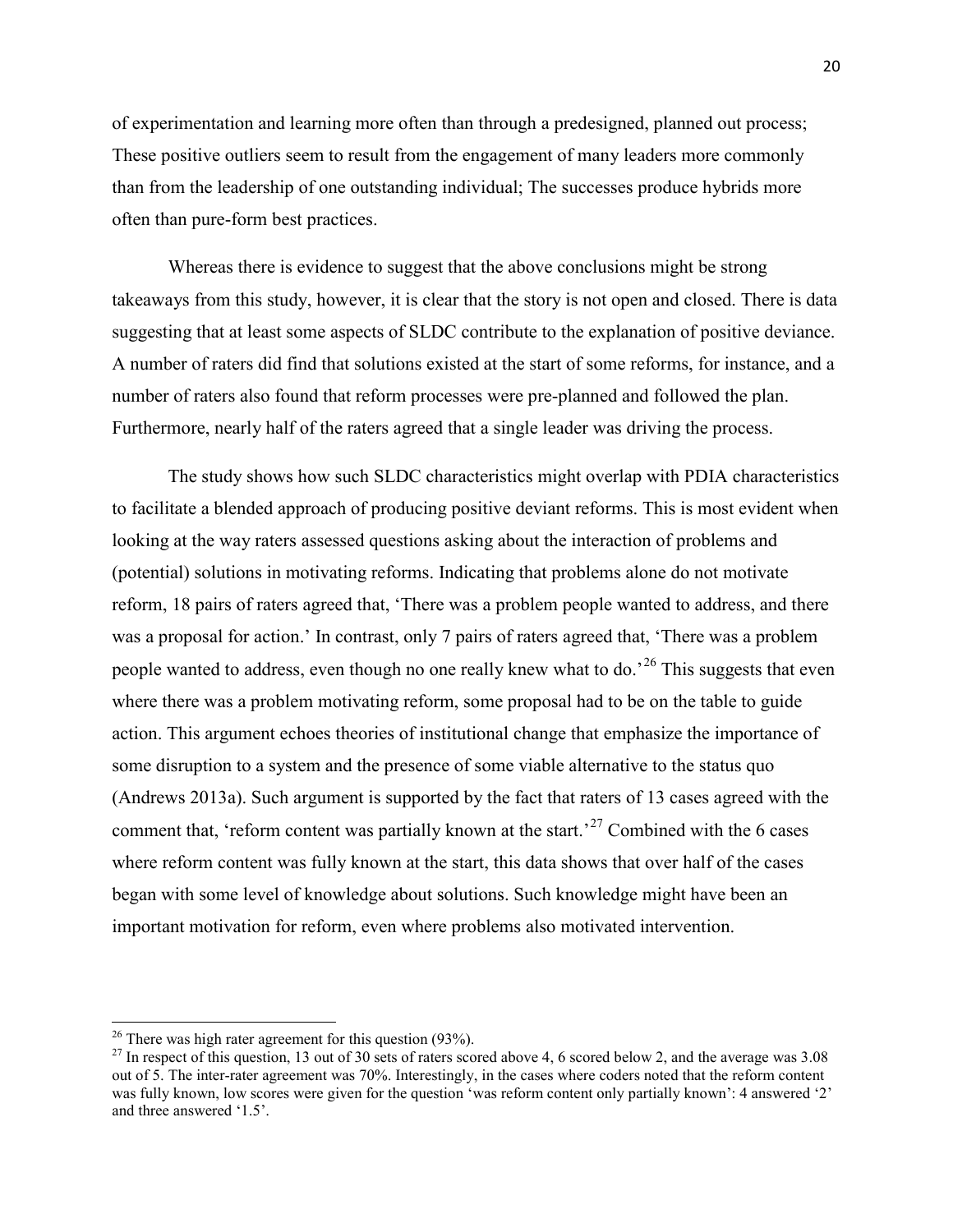of experimentation and learning more often than through a predesigned, planned out process; These positive outliers seem to result from the engagement of many leaders more commonly than from the leadership of one outstanding individual; The successes produce hybrids more often than pure-form best practices.

Whereas there is evidence to suggest that the above conclusions might be strong takeaways from this study, however, it is clear that the story is not open and closed. There is data suggesting that at least some aspects of SLDC contribute to the explanation of positive deviance. A number of raters did find that solutions existed at the start of some reforms, for instance, and a number of raters also found that reform processes were pre-planned and followed the plan. Furthermore, nearly half of the raters agreed that a single leader was driving the process.

The study shows how such SLDC characteristics might overlap with PDIA characteristics to facilitate a blended approach of producing positive deviant reforms. This is most evident when looking at the way raters assessed questions asking about the interaction of problems and (potential) solutions in motivating reforms. Indicating that problems alone do not motivate reform, 18 pairs of raters agreed that, 'There was a problem people wanted to address, and there was a proposal for action.' In contrast, only 7 pairs of raters agreed that, 'There was a problem people wanted to address, even though no one really knew what to do.<sup>[26](#page-20-0)</sup> This suggests that even where there was a problem motivating reform, some proposal had to be on the table to guide action. This argument echoes theories of institutional change that emphasize the importance of some disruption to a system and the presence of some viable alternative to the status quo (Andrews 2013a). Such argument is supported by the fact that raters of 13 cases agreed with the comment that, 'reform content was partially known at the start.<sup>[27](#page-20-1)</sup> Combined with the 6 cases where reform content was fully known at the start, this data shows that over half of the cases began with some level of knowledge about solutions. Such knowledge might have been an important motivation for reform, even where problems also motivated intervention.

<span id="page-20-1"></span>

<span id="page-20-0"></span><sup>&</sup>lt;sup>26</sup> There was high rater agreement for this question (93%).<br><sup>27</sup> In respect of this question, 13 out of 30 sets of raters scored above 4, 6 scored below 2, and the average was 3.08 out of 5. The inter-rater agreement was 70%. Interestingly, in the cases where coders noted that the reform content was fully known, low scores were given for the question 'was reform content only partially known': 4 answered '2' and three answered '1.5'.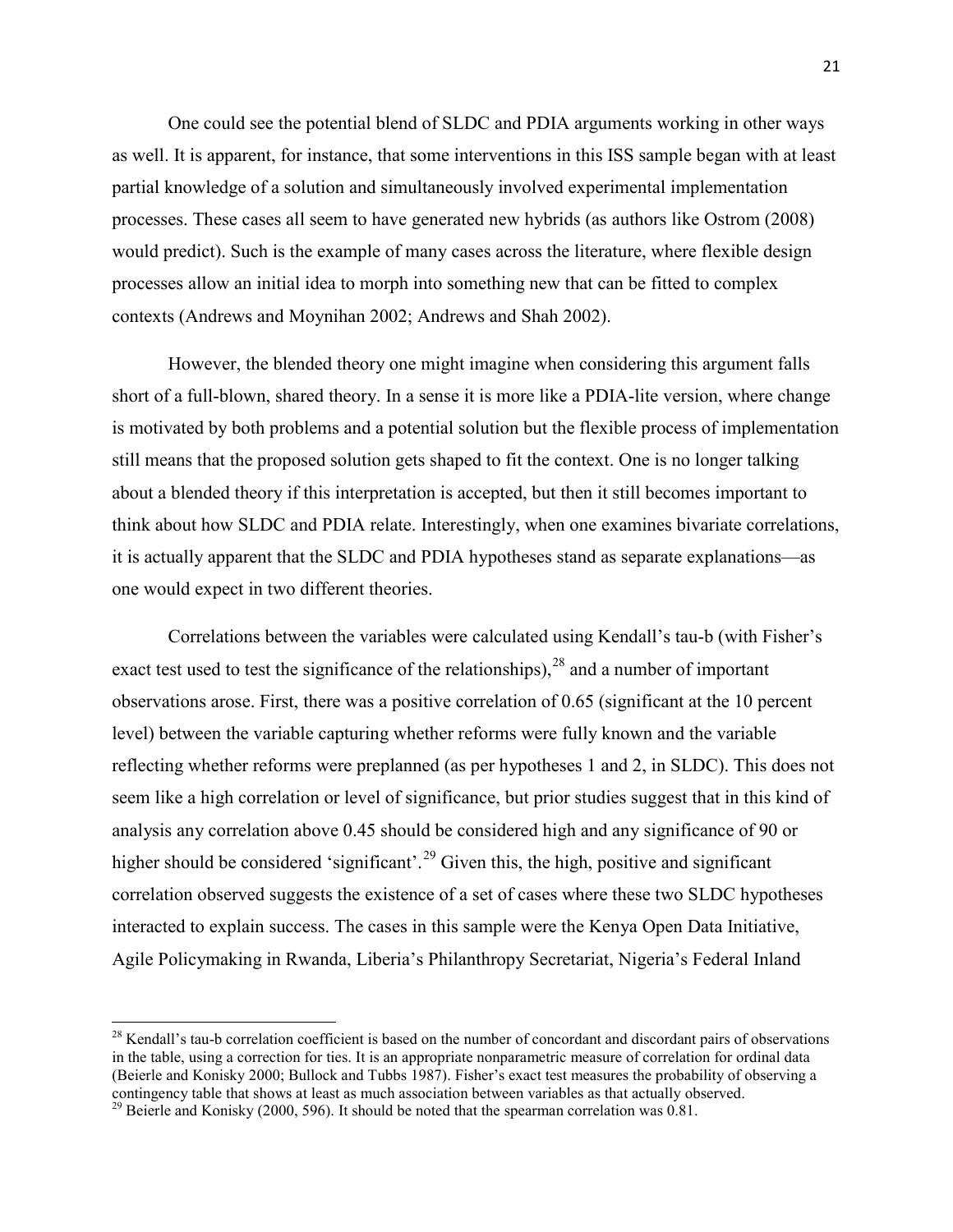One could see the potential blend of SLDC and PDIA arguments working in other ways as well. It is apparent, for instance, that some interventions in this ISS sample began with at least partial knowledge of a solution and simultaneously involved experimental implementation processes. These cases all seem to have generated new hybrids (as authors like Ostrom (2008) would predict). Such is the example of many cases across the literature, where flexible design processes allow an initial idea to morph into something new that can be fitted to complex contexts (Andrews and Moynihan 2002; Andrews and Shah 2002).

However, the blended theory one might imagine when considering this argument falls short of a full-blown, shared theory. In a sense it is more like a PDIA-lite version, where change is motivated by both problems and a potential solution but the flexible process of implementation still means that the proposed solution gets shaped to fit the context. One is no longer talking about a blended theory if this interpretation is accepted, but then it still becomes important to think about how SLDC and PDIA relate. Interestingly, when one examines bivariate correlations, it is actually apparent that the SLDC and PDIA hypotheses stand as separate explanations—as one would expect in two different theories.

Correlations between the variables were calculated using Kendall's tau-b (with Fisher's exact test used to test the significance of the relationships),  $28$  and a number of important observations arose. First, there was a positive correlation of 0.65 (significant at the 10 percent level) between the variable capturing whether reforms were fully known and the variable reflecting whether reforms were preplanned (as per hypotheses 1 and 2, in SLDC). This does not seem like a high correlation or level of significance, but prior studies suggest that in this kind of analysis any correlation above 0.45 should be considered high and any significance of 90 or higher should be considered 'significant'.<sup>[29](#page-21-1)</sup> Given this, the high, positive and significant correlation observed suggests the existence of a set of cases where these two SLDC hypotheses interacted to explain success. The cases in this sample were the Kenya Open Data Initiative, Agile Policymaking in Rwanda, Liberia's Philanthropy Secretariat, Nigeria's Federal Inland

<span id="page-21-0"></span> $28$  Kendall's tau-b correlation coefficient is based on the number of concordant and discordant pairs of observations in the table, using a correction for ties. It is an appropriate nonparametric measure of correlation for ordinal data (Beierle and Konisky 2000; Bullock and Tubbs 1987). Fisher's exact test measures the probability of observing a contingency table that shows at least as much association between variables as that actually observed.

<span id="page-21-1"></span><sup>&</sup>lt;sup>29</sup> Beierle and Konisky (2000, 596). It should be noted that the spearman correlation was 0.81.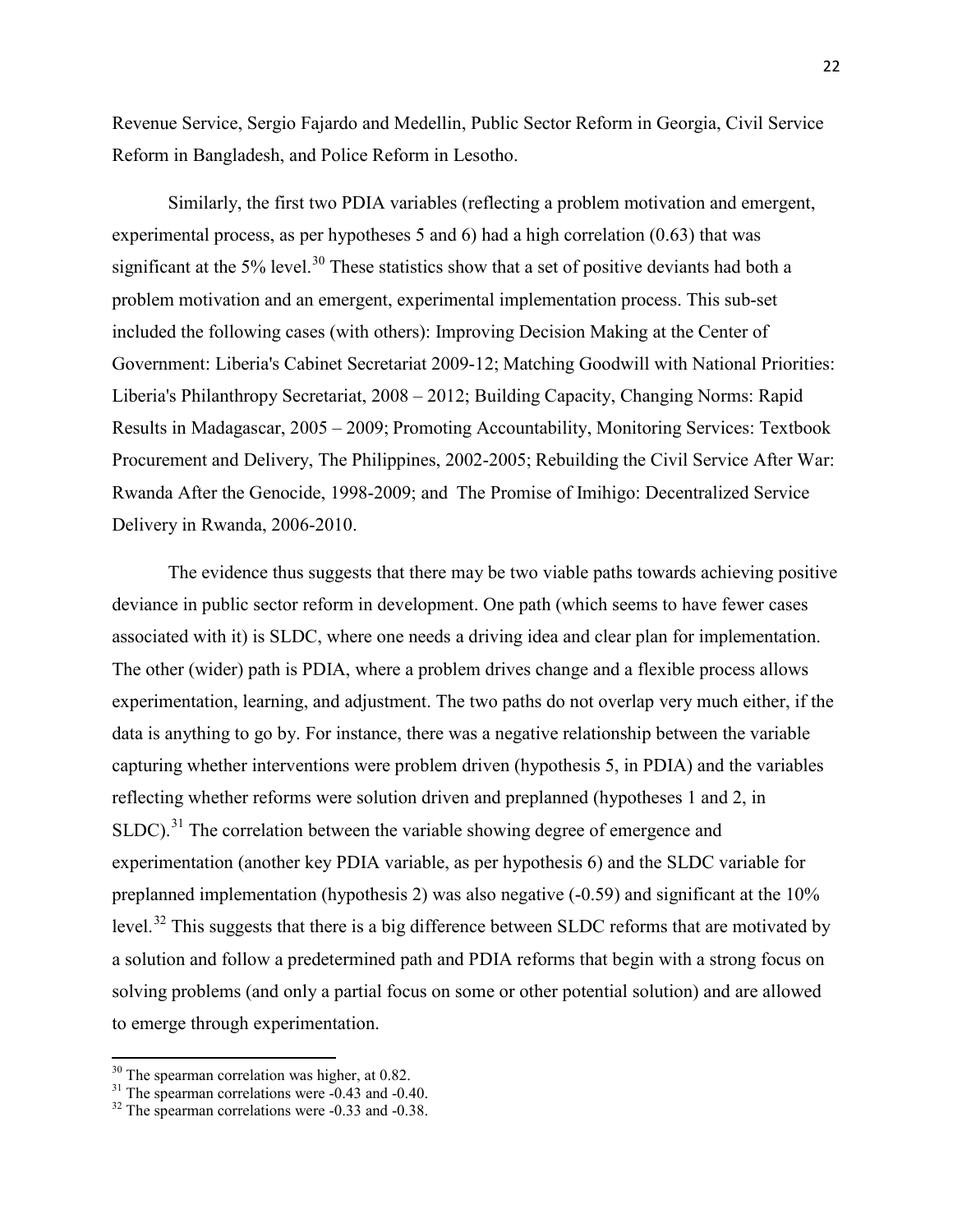Revenue Service, Sergio Fajardo and Medellin, Public Sector Reform in Georgia, Civil Service Reform in Bangladesh, and Police Reform in Lesotho.

Similarly, the first two PDIA variables (reflecting a problem motivation and emergent, experimental process, as per hypotheses 5 and 6) had a high correlation (0.63) that was significant at the 5% level.<sup>[30](#page-22-0)</sup> These statistics show that a set of positive deviants had both a problem motivation and an emergent, experimental implementation process. This sub-set included the following cases (with others): Improving Decision Making at the Center of Government: Liberia's Cabinet Secretariat 2009-12; Matching Goodwill with National Priorities: Liberia's Philanthropy Secretariat, 2008 – 2012; Building Capacity, Changing Norms: Rapid Results in Madagascar, 2005 – 2009; Promoting Accountability, Monitoring Services: Textbook Procurement and Delivery, The Philippines, 2002-2005; Rebuilding the Civil Service After War: Rwanda After the Genocide, 1998-2009; and The Promise of Imihigo: Decentralized Service Delivery in Rwanda, 2006-2010.

The evidence thus suggests that there may be two viable paths towards achieving positive deviance in public sector reform in development. One path (which seems to have fewer cases associated with it) is SLDC, where one needs a driving idea and clear plan for implementation. The other (wider) path is PDIA, where a problem drives change and a flexible process allows experimentation, learning, and adjustment. The two paths do not overlap very much either, if the data is anything to go by. For instance, there was a negative relationship between the variable capturing whether interventions were problem driven (hypothesis 5, in PDIA) and the variables reflecting whether reforms were solution driven and preplanned (hypotheses 1 and 2, in SLDC).<sup>[31](#page-22-1)</sup> The correlation between the variable showing degree of emergence and experimentation (another key PDIA variable, as per hypothesis 6) and the SLDC variable for preplanned implementation (hypothesis 2) was also negative  $(-0.59)$  and significant at the  $10\%$ level.<sup>[32](#page-22-2)</sup> This suggests that there is a big difference between SLDC reforms that are motivated by a solution and follow a predetermined path and PDIA reforms that begin with a strong focus on solving problems (and only a partial focus on some or other potential solution) and are allowed to emerge through experimentation.

<span id="page-22-1"></span><span id="page-22-0"></span><sup>&</sup>lt;sup>30</sup> The spearman correlation was higher, at 0.82.<br><sup>31</sup> The spearman correlations were -0.43 and -0.40.<br><sup>32</sup> The spearman correlations were -0.33 and -0.38.

<span id="page-22-2"></span>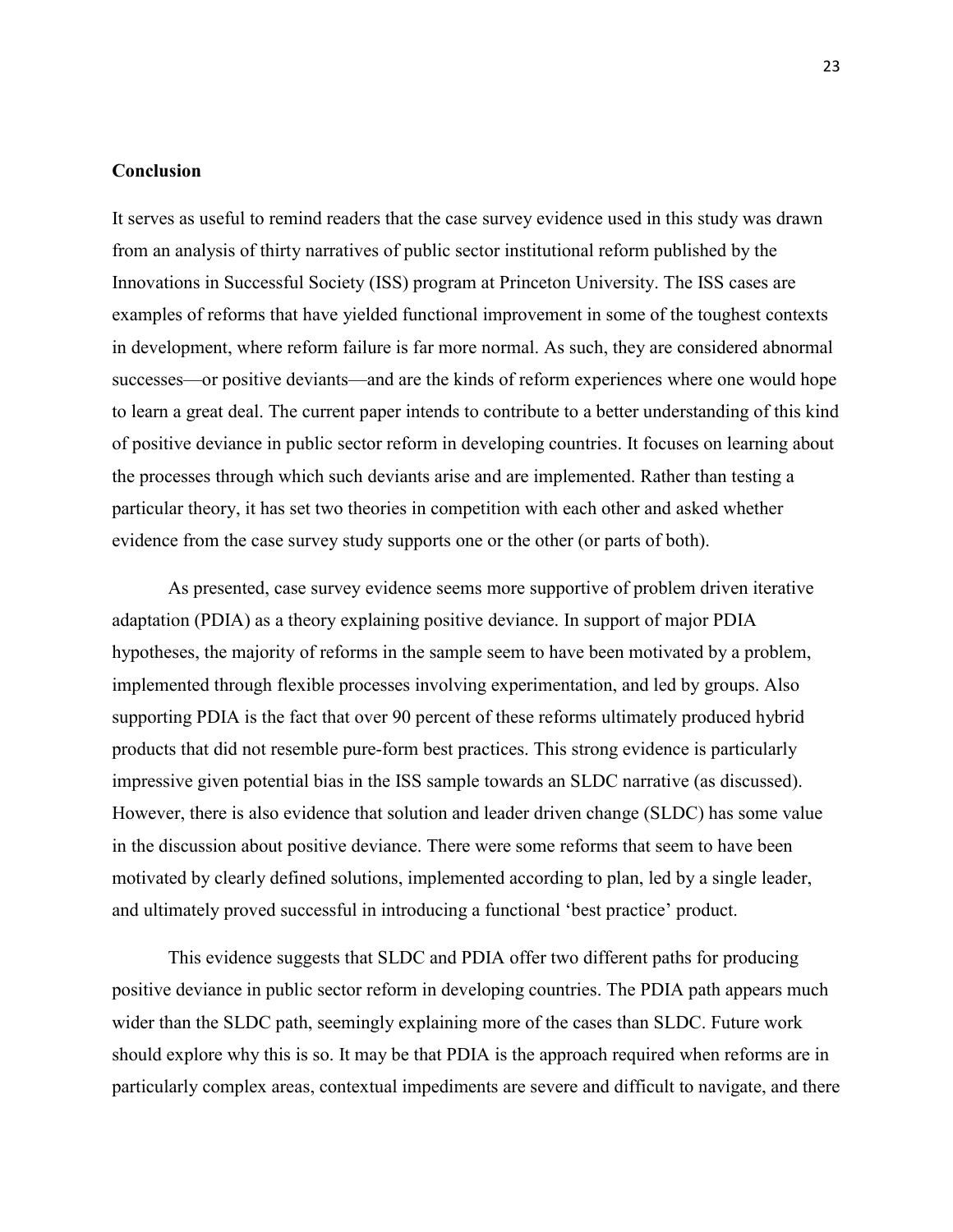## **Conclusion**

It serves as useful to remind readers that the case survey evidence used in this study was drawn from an analysis of thirty narratives of public sector institutional reform published by the Innovations in Successful Society (ISS) program at Princeton University. The ISS cases are examples of reforms that have yielded functional improvement in some of the toughest contexts in development, where reform failure is far more normal. As such, they are considered abnormal successes—or positive deviants—and are the kinds of reform experiences where one would hope to learn a great deal. The current paper intends to contribute to a better understanding of this kind of positive deviance in public sector reform in developing countries. It focuses on learning about the processes through which such deviants arise and are implemented. Rather than testing a particular theory, it has set two theories in competition with each other and asked whether evidence from the case survey study supports one or the other (or parts of both).

As presented, case survey evidence seems more supportive of problem driven iterative adaptation (PDIA) as a theory explaining positive deviance. In support of major PDIA hypotheses, the majority of reforms in the sample seem to have been motivated by a problem, implemented through flexible processes involving experimentation, and led by groups. Also supporting PDIA is the fact that over 90 percent of these reforms ultimately produced hybrid products that did not resemble pure-form best practices. This strong evidence is particularly impressive given potential bias in the ISS sample towards an SLDC narrative (as discussed). However, there is also evidence that solution and leader driven change (SLDC) has some value in the discussion about positive deviance. There were some reforms that seem to have been motivated by clearly defined solutions, implemented according to plan, led by a single leader, and ultimately proved successful in introducing a functional 'best practice' product.

This evidence suggests that SLDC and PDIA offer two different paths for producing positive deviance in public sector reform in developing countries. The PDIA path appears much wider than the SLDC path, seemingly explaining more of the cases than SLDC. Future work should explore why this is so. It may be that PDIA is the approach required when reforms are in particularly complex areas, contextual impediments are severe and difficult to navigate, and there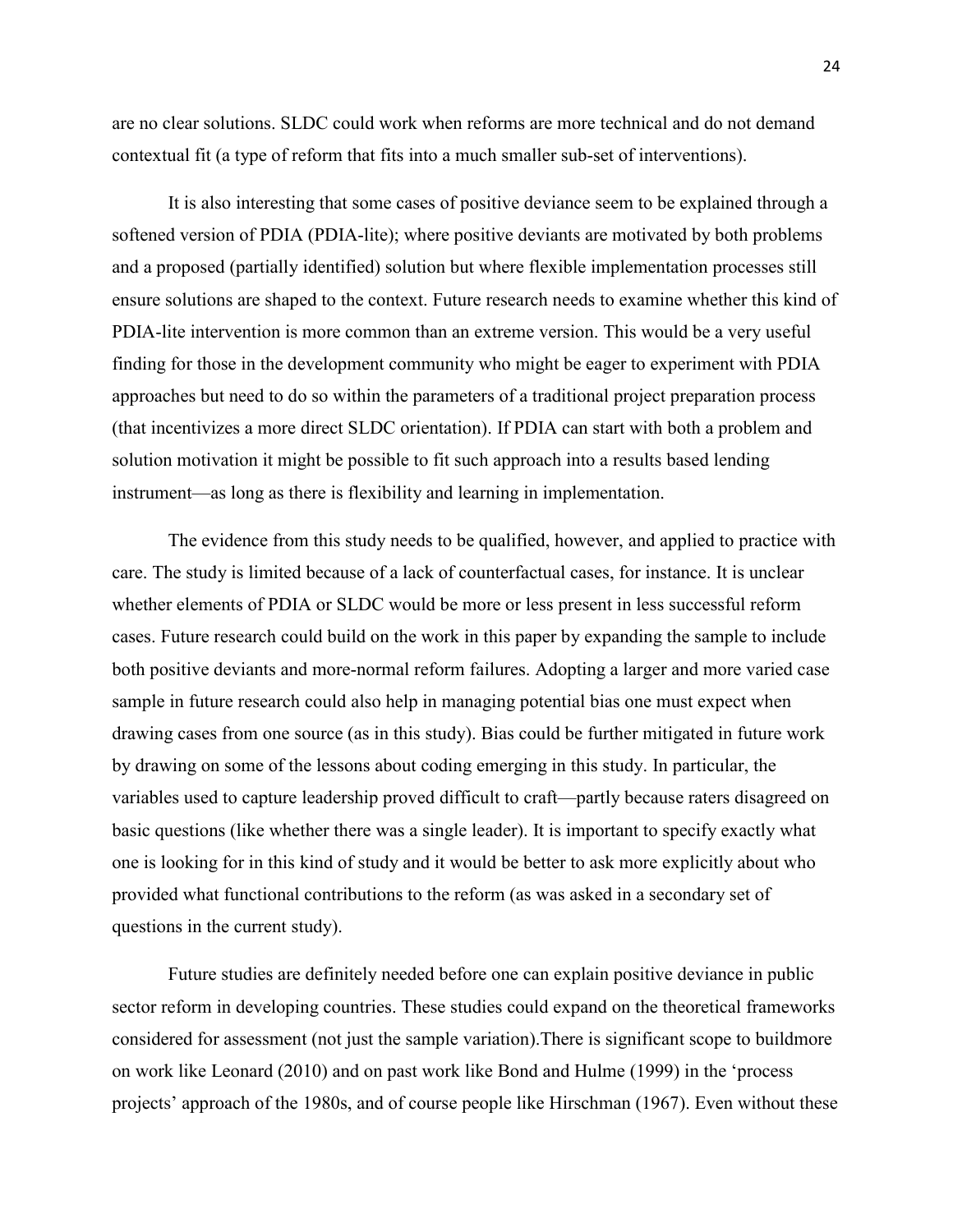are no clear solutions. SLDC could work when reforms are more technical and do not demand contextual fit (a type of reform that fits into a much smaller sub-set of interventions).

It is also interesting that some cases of positive deviance seem to be explained through a softened version of PDIA (PDIA-lite); where positive deviants are motivated by both problems and a proposed (partially identified) solution but where flexible implementation processes still ensure solutions are shaped to the context. Future research needs to examine whether this kind of PDIA-lite intervention is more common than an extreme version. This would be a very useful finding for those in the development community who might be eager to experiment with PDIA approaches but need to do so within the parameters of a traditional project preparation process (that incentivizes a more direct SLDC orientation). If PDIA can start with both a problem and solution motivation it might be possible to fit such approach into a results based lending instrument—as long as there is flexibility and learning in implementation.

The evidence from this study needs to be qualified, however, and applied to practice with care. The study is limited because of a lack of counterfactual cases, for instance. It is unclear whether elements of PDIA or SLDC would be more or less present in less successful reform cases. Future research could build on the work in this paper by expanding the sample to include both positive deviants and more-normal reform failures. Adopting a larger and more varied case sample in future research could also help in managing potential bias one must expect when drawing cases from one source (as in this study). Bias could be further mitigated in future work by drawing on some of the lessons about coding emerging in this study. In particular, the variables used to capture leadership proved difficult to craft—partly because raters disagreed on basic questions (like whether there was a single leader). It is important to specify exactly what one is looking for in this kind of study and it would be better to ask more explicitly about who provided what functional contributions to the reform (as was asked in a secondary set of questions in the current study).

Future studies are definitely needed before one can explain positive deviance in public sector reform in developing countries. These studies could expand on the theoretical frameworks considered for assessment (not just the sample variation).There is significant scope to buildmore on work like Leonard (2010) and on past work like Bond and Hulme (1999) in the 'process projects' approach of the 1980s, and of course people like Hirschman (1967). Even without these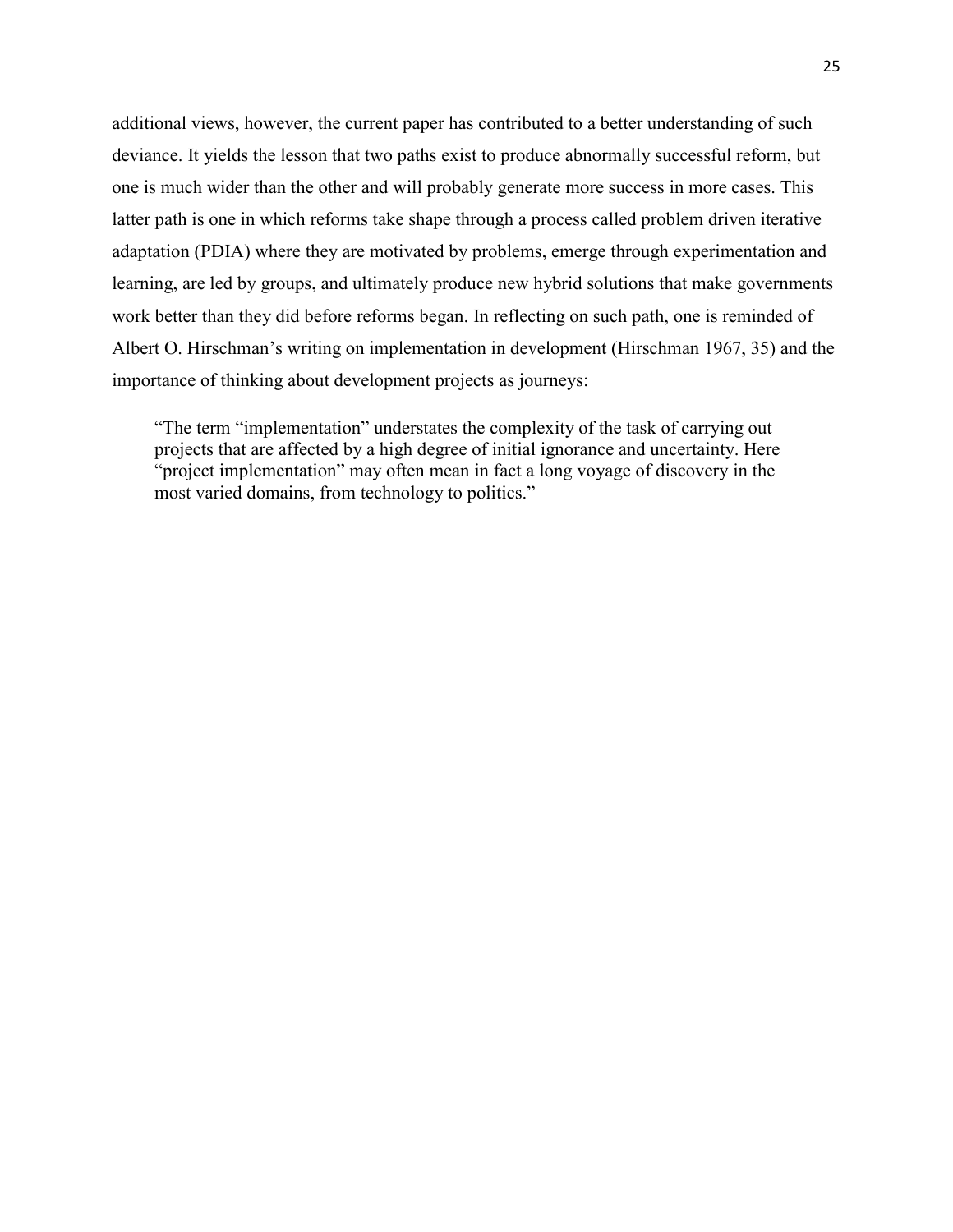additional views, however, the current paper has contributed to a better understanding of such deviance. It yields the lesson that two paths exist to produce abnormally successful reform, but one is much wider than the other and will probably generate more success in more cases. This latter path is one in which reforms take shape through a process called problem driven iterative adaptation (PDIA) where they are motivated by problems, emerge through experimentation and learning, are led by groups, and ultimately produce new hybrid solutions that make governments work better than they did before reforms began. In reflecting on such path, one is reminded of Albert O. Hirschman's writing on implementation in development (Hirschman 1967, 35) and the importance of thinking about development projects as journeys:

"The term "implementation" understates the complexity of the task of carrying out projects that are affected by a high degree of initial ignorance and uncertainty. Here "project implementation" may often mean in fact a long voyage of discovery in the most varied domains, from technology to politics."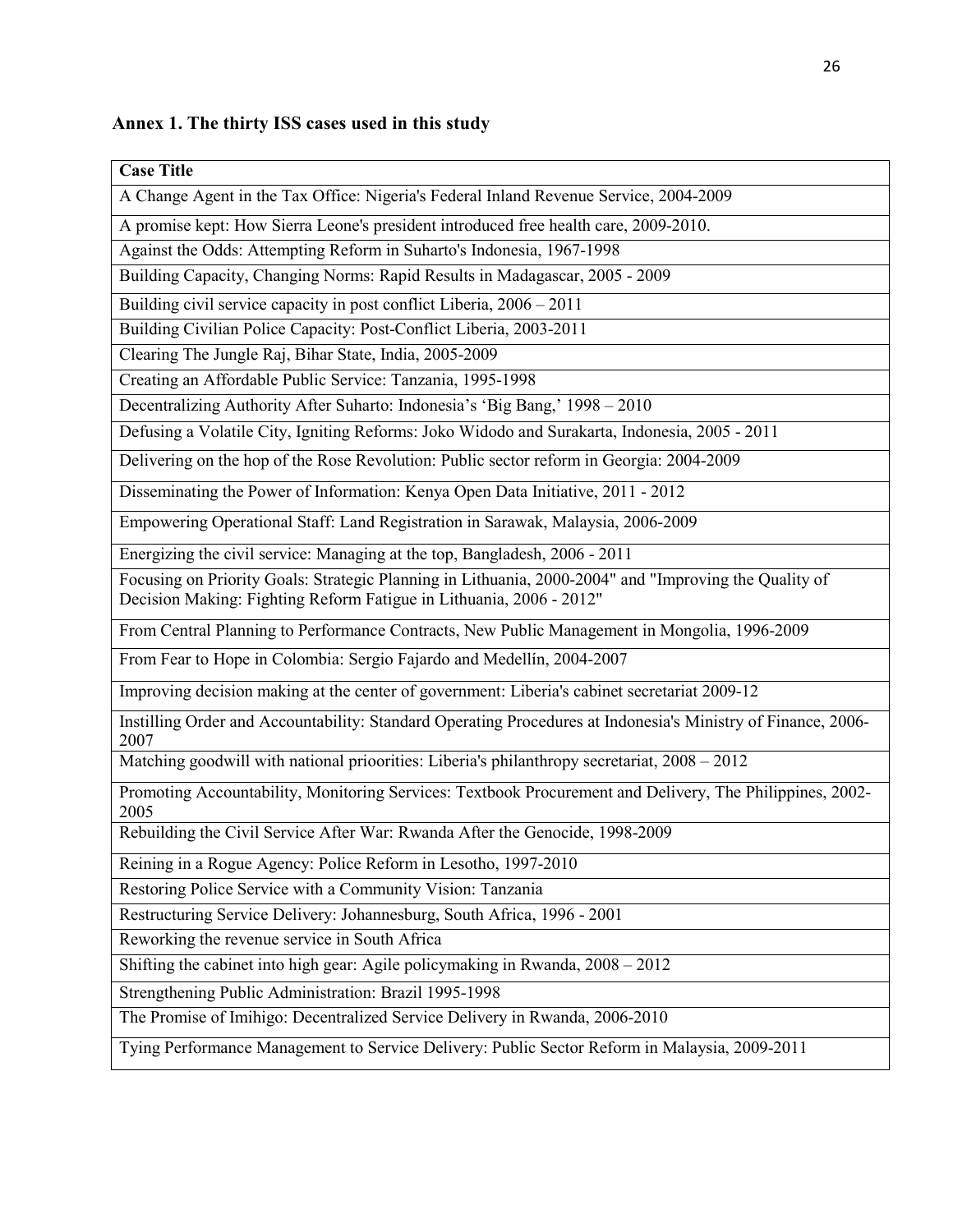## **Annex 1. The thirty ISS cases used in this study**

| <b>Case Title</b>                                                                                                                                                            |  |  |
|------------------------------------------------------------------------------------------------------------------------------------------------------------------------------|--|--|
| A Change Agent in the Tax Office: Nigeria's Federal Inland Revenue Service, 2004-2009                                                                                        |  |  |
| A promise kept: How Sierra Leone's president introduced free health care, 2009-2010.                                                                                         |  |  |
| Against the Odds: Attempting Reform in Suharto's Indonesia, 1967-1998                                                                                                        |  |  |
| Building Capacity, Changing Norms: Rapid Results in Madagascar, 2005 - 2009                                                                                                  |  |  |
| Building civil service capacity in post conflict Liberia, 2006 - 2011                                                                                                        |  |  |
| Building Civilian Police Capacity: Post-Conflict Liberia, 2003-2011                                                                                                          |  |  |
| Clearing The Jungle Raj, Bihar State, India, 2005-2009                                                                                                                       |  |  |
| Creating an Affordable Public Service: Tanzania, 1995-1998                                                                                                                   |  |  |
| Decentralizing Authority After Suharto: Indonesia's 'Big Bang,' 1998 - 2010                                                                                                  |  |  |
| Defusing a Volatile City, Igniting Reforms: Joko Widodo and Surakarta, Indonesia, 2005 - 2011                                                                                |  |  |
| Delivering on the hop of the Rose Revolution: Public sector reform in Georgia: 2004-2009                                                                                     |  |  |
| Disseminating the Power of Information: Kenya Open Data Initiative, 2011 - 2012                                                                                              |  |  |
| Empowering Operational Staff: Land Registration in Sarawak, Malaysia, 2006-2009                                                                                              |  |  |
| Energizing the civil service: Managing at the top, Bangladesh, 2006 - 2011                                                                                                   |  |  |
| Focusing on Priority Goals: Strategic Planning in Lithuania, 2000-2004" and "Improving the Quality of<br>Decision Making: Fighting Reform Fatigue in Lithuania, 2006 - 2012" |  |  |
| From Central Planning to Performance Contracts, New Public Management in Mongolia, 1996-2009                                                                                 |  |  |
| From Fear to Hope in Colombia: Sergio Fajardo and Medellín, 2004-2007                                                                                                        |  |  |
| Improving decision making at the center of government: Liberia's cabinet secretariat 2009-12                                                                                 |  |  |
| Instilling Order and Accountability: Standard Operating Procedures at Indonesia's Ministry of Finance, 2006-<br>2007                                                         |  |  |
| Matching goodwill with national prioorities: Liberia's philanthropy secretariat, 2008 - 2012                                                                                 |  |  |
| Promoting Accountability, Monitoring Services: Textbook Procurement and Delivery, The Philippines, 2002-<br>2005                                                             |  |  |
| Rebuilding the Civil Service After War: Rwanda After the Genocide, 1998-2009                                                                                                 |  |  |
| Reining in a Rogue Agency: Police Reform in Lesotho, 1997-2010                                                                                                               |  |  |
| Restoring Police Service with a Community Vision: Tanzania                                                                                                                   |  |  |
| Restructuring Service Delivery: Johannesburg, South Africa, 1996 - 2001                                                                                                      |  |  |
| Reworking the revenue service in South Africa                                                                                                                                |  |  |
| Shifting the cabinet into high gear: Agile policymaking in Rwanda, 2008 - 2012                                                                                               |  |  |
| Strengthening Public Administration: Brazil 1995-1998                                                                                                                        |  |  |
| The Promise of Imihigo: Decentralized Service Delivery in Rwanda, 2006-2010                                                                                                  |  |  |
| Tying Performance Management to Service Delivery: Public Sector Reform in Malaysia, 2009-2011                                                                                |  |  |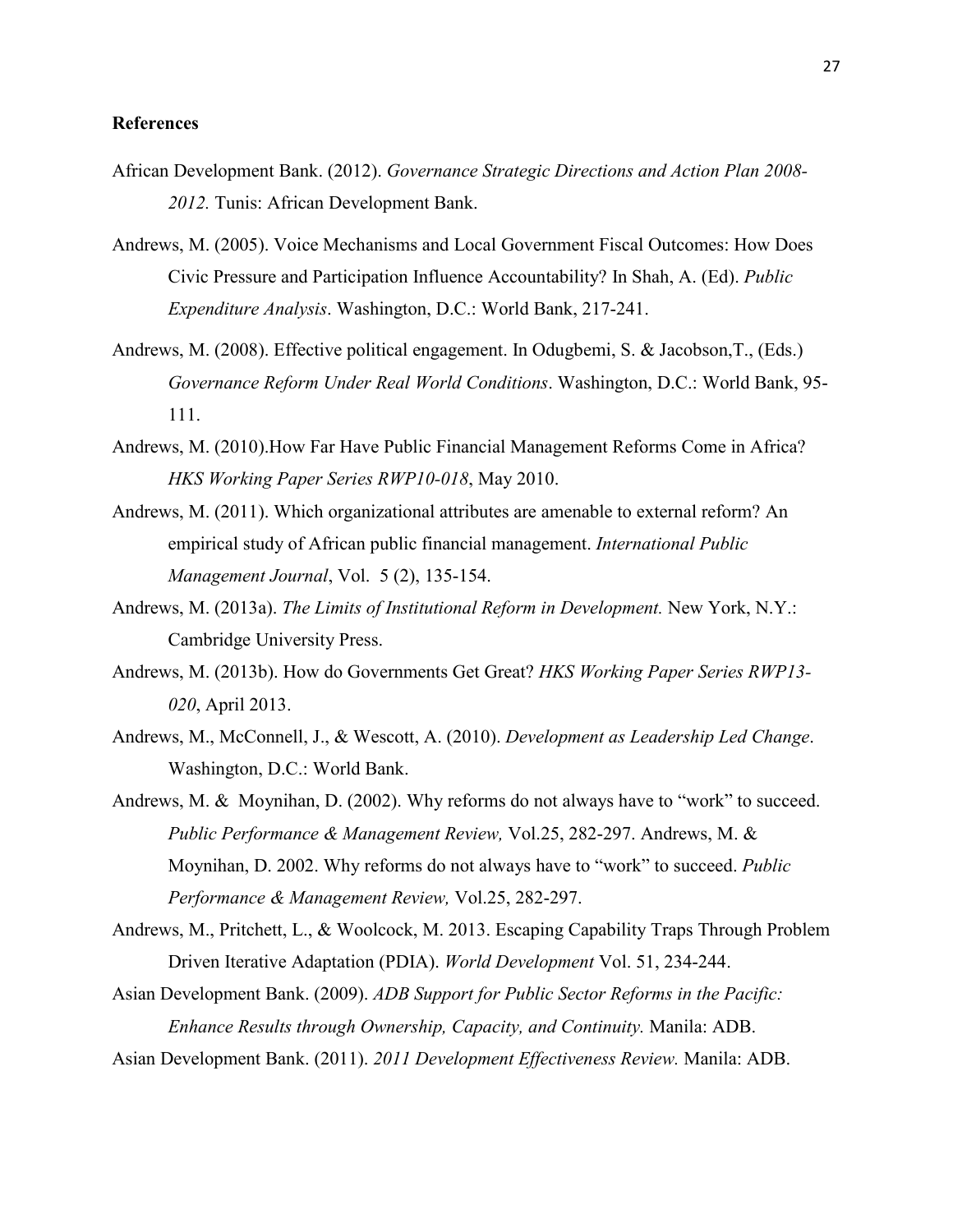#### **References**

- African Development Bank. (2012). *Governance Strategic Directions and Action Plan 2008- 2012.* Tunis: African Development Bank.
- Andrews, M. (2005). Voice Mechanisms and Local Government Fiscal Outcomes: How Does Civic Pressure and Participation Influence Accountability? In Shah, A. (Ed). *Public Expenditure Analysis*. Washington, D.C.: World Bank, 217-241.
- Andrews, M. (2008). Effective political engagement. In Odugbemi, S. & Jacobson,T., (Eds.) *Governance Reform Under Real World Conditions*. Washington, D.C.: World Bank, 95- 111.
- Andrews, M. (2010).How Far Have Public Financial Management Reforms Come in Africa? *HKS Working Paper Series RWP10-018*, May 2010.
- Andrews, M. (2011). Which organizational attributes are amenable to external reform? An empirical study of African public financial management. *International Public Management Journal*, Vol. 5 (2), 135-154.
- Andrews, M. (2013a). *The Limits of Institutional Reform in Development.* New York, N.Y.: Cambridge University Press.
- Andrews, M. (2013b). How do Governments Get Great? *HKS Working Paper Series RWP13- 020*, April 2013.
- Andrews, M., McConnell, J., & Wescott, A. (2010). *Development as Leadership Led Change*. Washington, D.C.: World Bank.
- Andrews, M. & Moynihan, D. (2002). Why reforms do not always have to "work" to succeed. *Public Performance & Management Review,* Vol.25, 282-297. Andrews, M. & Moynihan, D. 2002. Why reforms do not always have to "work" to succeed. *Public Performance & Management Review,* Vol.25, 282-297.
- Andrews, M., Pritchett, L., & Woolcock, M. 2013. Escaping Capability Traps Through Problem Driven Iterative Adaptation (PDIA). *World Development* Vol. 51, 234-244.
- Asian Development Bank. (2009). *ADB Support for Public Sector Reforms in the Pacific: Enhance Results through Ownership, Capacity, and Continuity.* Manila: ADB.
- Asian Development Bank. (2011). *2011 Development Effectiveness Review.* Manila: ADB.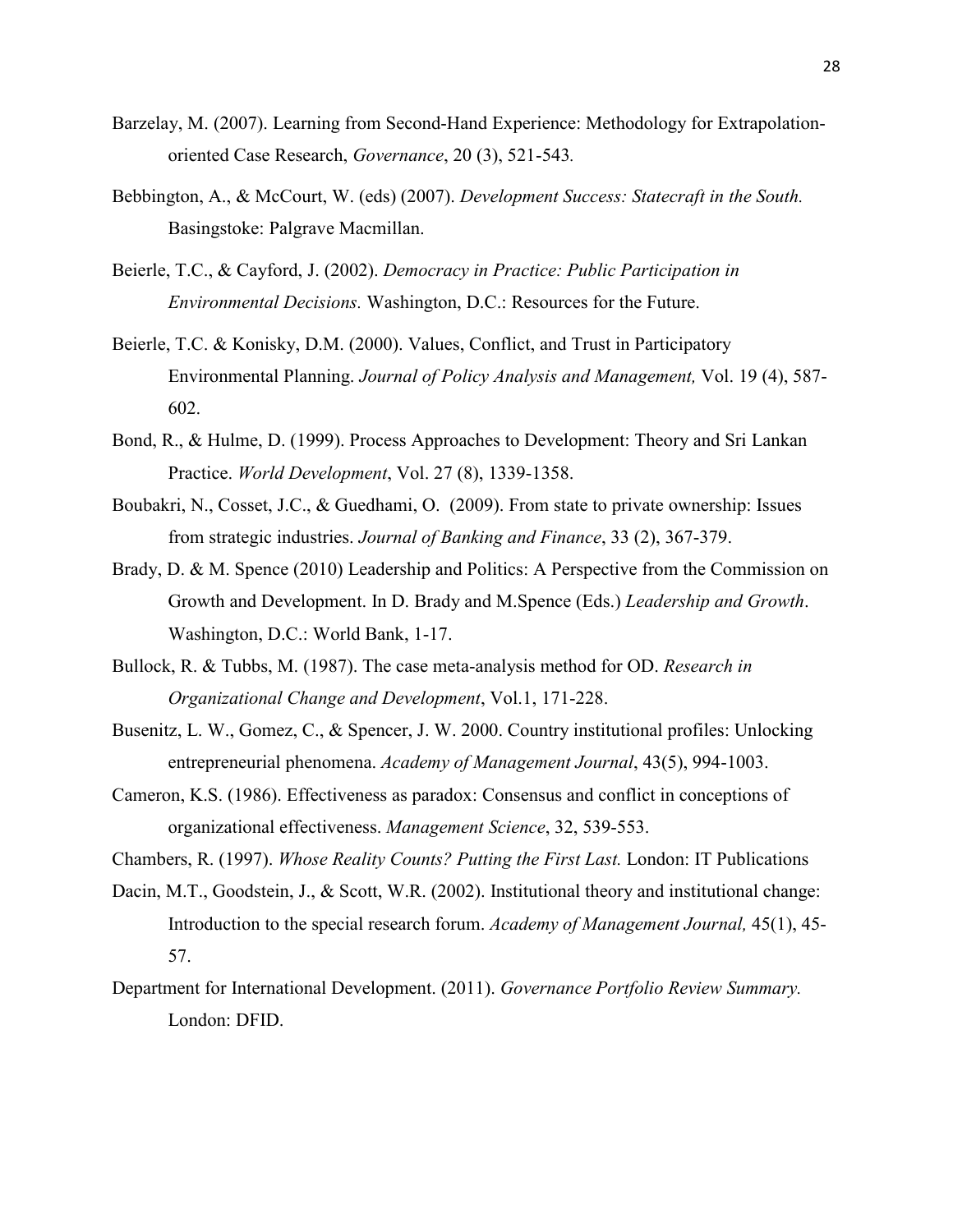- Barzelay, M. (2007). Learning from Second-Hand Experience: Methodology for Extrapolationoriented Case Research, *Governance*, 20 (3), 521-543*.*
- Bebbington, A., & McCourt, W. (eds) (2007). *Development Success: Statecraft in the South.*  Basingstoke: Palgrave Macmillan.
- Beierle, T.C., & Cayford, J. (2002). *Democracy in Practice: Public Participation in Environmental Decisions.* Washington, D.C.: Resources for the Future.
- Beierle, T.C. & Konisky, D.M. (2000). Values, Conflict, and Trust in Participatory Environmental Planning. *Journal of Policy Analysis and Management,* Vol. 19 (4), 587- 602.
- Bond, R., & Hulme, D. (1999). Process Approaches to Development: Theory and Sri Lankan Practice. *World Development*, Vol. 27 (8), 1339-1358.
- Boubakri, N., Cosset, J.C., & Guedhami, O. (2009). From state to private ownership: Issues from strategic industries. *Journal of Banking and Finance*, 33 (2), 367-379.
- Brady, D. & M. Spence (2010) Leadership and Politics: A Perspective from the Commission on Growth and Development. In D. Brady and M.Spence (Eds.) *Leadership and Growth*. Washington, D.C.: World Bank, 1-17.
- Bullock, R. & Tubbs, M. (1987). The case meta-analysis method for OD. *Research in Organizational Change and Development*, Vol.1, 171-228.
- Busenitz, L. W., Gomez, C., & Spencer, J. W. 2000. Country institutional profiles: Unlocking entrepreneurial phenomena. *Academy of Management Journal*, 43(5), 994-1003.
- Cameron, K.S. (1986). Effectiveness as paradox: Consensus and conflict in conceptions of organizational effectiveness. *Management Science*, 32, 539-553.
- Chambers, R. (1997). *Whose Reality Counts? Putting the First Last.* London: IT Publications
- Dacin, M.T., Goodstein, J., & Scott, W.R. (2002). Institutional theory and institutional change: Introduction to the special research forum. *Academy of Management Journal,* 45(1), 45- 57.
- Department for International Development. (2011). *Governance Portfolio Review Summary.*  London: DFID.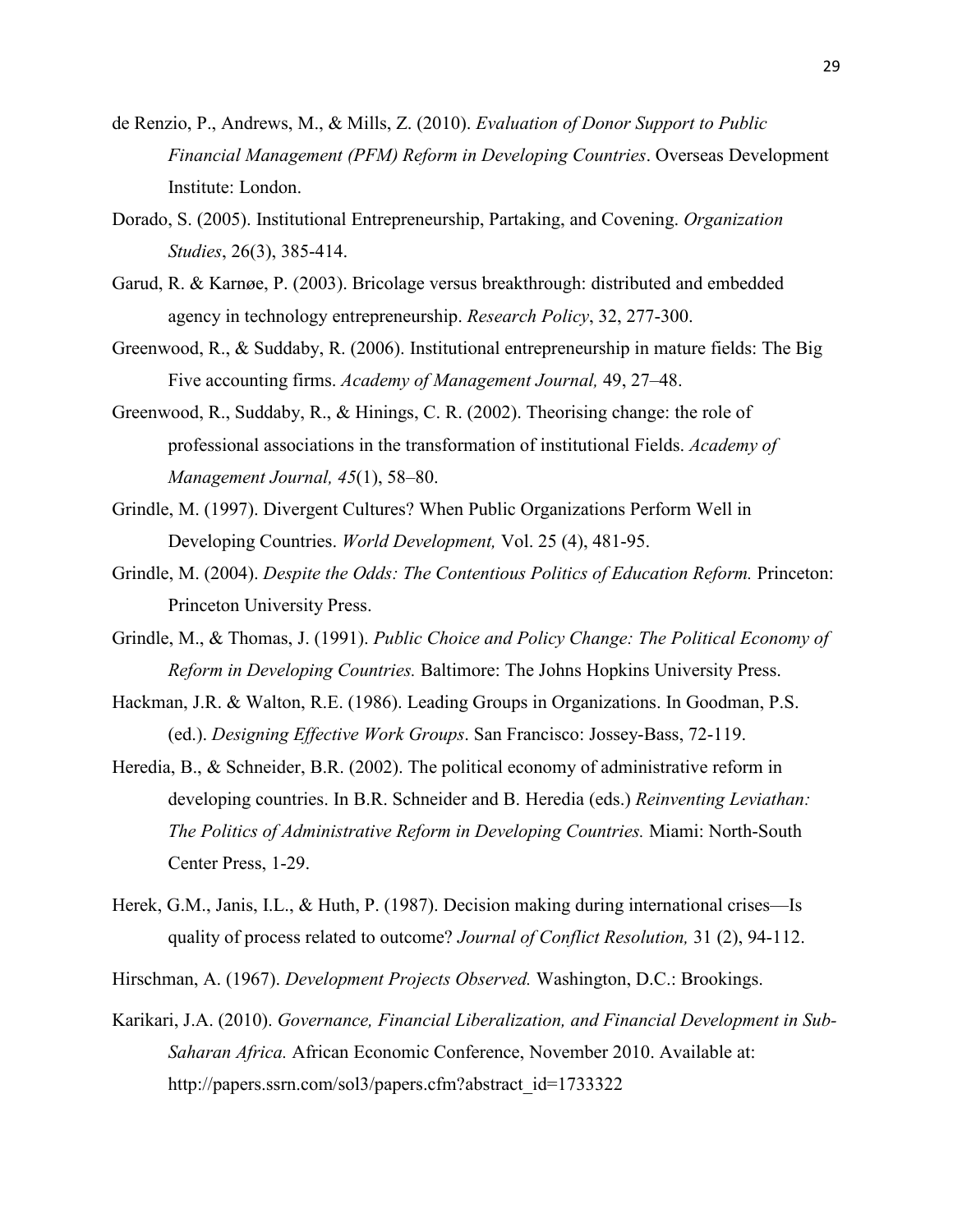- de Renzio, P., Andrews, M., & Mills, Z. (2010). *Evaluation of Donor Support to Public Financial Management (PFM) Reform in Developing Countries*. Overseas Development Institute: London.
- Dorado, S. (2005). Institutional Entrepreneurship, Partaking, and Covening. *Organization Studies*, 26(3), 385-414.
- Garud, R. & Karnøe, P. (2003). Bricolage versus breakthrough: distributed and embedded agency in technology entrepreneurship. *Research Policy*, 32, 277-300.
- Greenwood, R., & Suddaby, R. (2006). Institutional entrepreneurship in mature fields: The Big Five accounting firms. *Academy of Management Journal,* 49, 27–48.
- Greenwood, R., Suddaby, R., & Hinings, C. R. (2002). Theorising change: the role of professional associations in the transformation of institutional Fields. *Academy of Management Journal, 45*(1), 58–80.
- Grindle, M. (1997). Divergent Cultures? When Public Organizations Perform Well in Developing Countries. *World Development,* Vol. 25 (4), 481-95.
- Grindle, M. (2004). *Despite the Odds: The Contentious Politics of Education Reform.* Princeton: Princeton University Press.
- Grindle, M., & Thomas, J. (1991). *Public Choice and Policy Change: The Political Economy of Reform in Developing Countries.* Baltimore: The Johns Hopkins University Press.
- Hackman, J.R. & Walton, R.E. (1986). Leading Groups in Organizations. In Goodman, P.S. (ed.). *Designing Effective Work Groups*. San Francisco: Jossey-Bass, 72-119.
- Heredia, B., & Schneider, B.R. (2002). The political economy of administrative reform in developing countries. In B.R. Schneider and B. Heredia (eds.) *Reinventing Leviathan: The Politics of Administrative Reform in Developing Countries.* Miami: North-South Center Press, 1-29.
- Herek, G.M., Janis, I.L., & Huth, P. (1987). Decision making during international crises—Is quality of process related to outcome? *Journal of Conflict Resolution,* 31 (2), 94-112.
- Hirschman, A. (1967). *Development Projects Observed.* Washington, D.C.: Brookings.
- Karikari, J.A. (2010). *Governance, Financial Liberalization, and Financial Development in Sub-Saharan Africa.* African Economic Conference, November 2010. Available at: http://papers.ssrn.com/sol3/papers.cfm?abstract\_id=1733322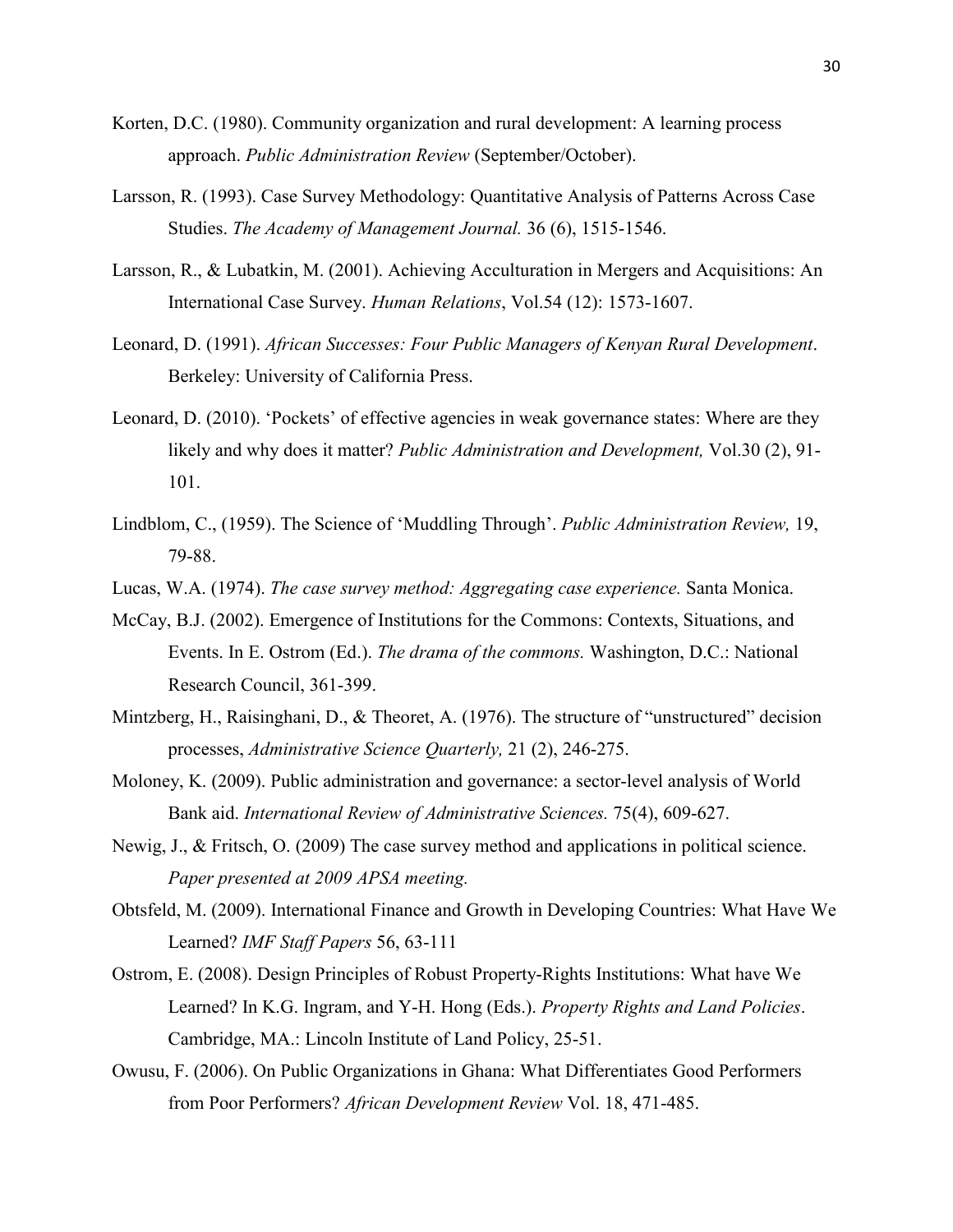- Korten, D.C. (1980). Community organization and rural development: A learning process approach. *Public Administration Review* (September/October).
- Larsson, R. (1993). Case Survey Methodology: Quantitative Analysis of Patterns Across Case Studies. *The Academy of Management Journal.* 36 (6), 1515-1546.
- Larsson, R., & Lubatkin, M. (2001). Achieving Acculturation in Mergers and Acquisitions: An International Case Survey. *Human Relations*, Vol.54 (12): 1573-1607.
- Leonard, D. (1991). *African Successes: Four Public Managers of Kenyan Rural Development*. Berkeley: University of California Press.
- Leonard, D. (2010). 'Pockets' of effective agencies in weak governance states: Where are they likely and why does it matter? *Public Administration and Development,* Vol.30 (2), 91- 101.
- Lindblom, C., (1959). The Science of 'Muddling Through'. *Public Administration Review,* 19, 79-88.
- Lucas, W.A. (1974). *The case survey method: Aggregating case experience.* Santa Monica.
- McCay, B.J. (2002). Emergence of Institutions for the Commons: Contexts, Situations, and Events. In E. Ostrom (Ed.). *The drama of the commons.* Washington, D.C.: National Research Council, 361-399.
- Mintzberg, H., Raisinghani, D., & Theoret, A. (1976). The structure of "unstructured" decision processes, *Administrative Science Quarterly,* 21 (2), 246-275.
- Moloney, K. (2009). Public administration and governance: a sector-level analysis of World Bank aid. *International Review of Administrative Sciences.* 75(4), 609-627.
- Newig, J., & Fritsch, O. (2009) The case survey method and applications in political science. *Paper presented at 2009 APSA meeting.*
- Obtsfeld, M. (2009). International Finance and Growth in Developing Countries: What Have We Learned? *IMF Staff Papers* 56, 63-111
- Ostrom, E. (2008). Design Principles of Robust Property-Rights Institutions: What have We Learned? In K.G. Ingram, and Y-H. Hong (Eds.). *Property Rights and Land Policies*. Cambridge, MA.: Lincoln Institute of Land Policy, 25-51.
- Owusu, F. (2006). On Public Organizations in Ghana: What Differentiates Good Performers from Poor Performers? *African Development Review* Vol. 18, 471-485.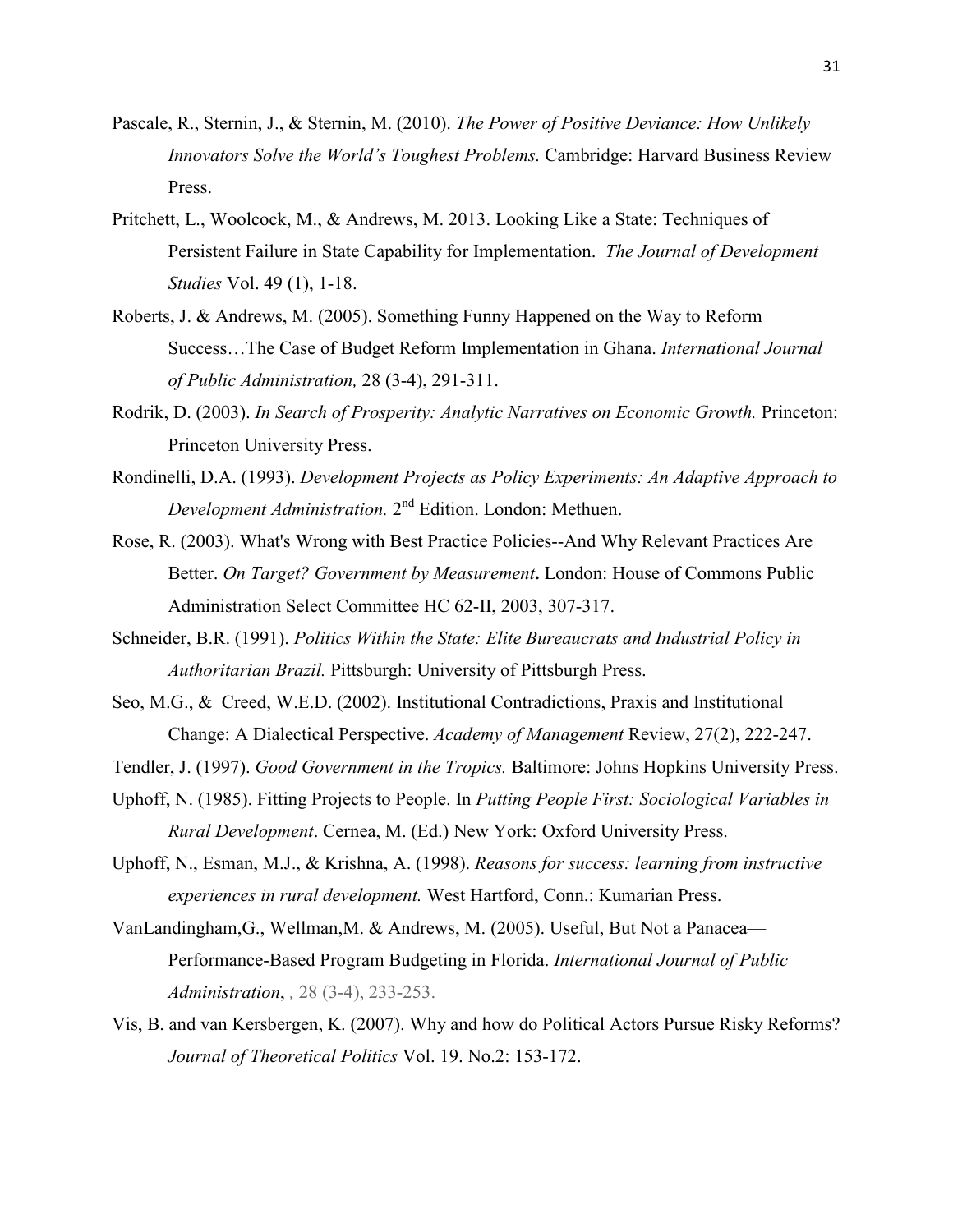- Pascale, R., Sternin, J., & Sternin, M. (2010). *The Power of Positive Deviance: How Unlikely Innovators Solve the World's Toughest Problems.* Cambridge: Harvard Business Review Press.
- Pritchett, L., Woolcock, M., & Andrews, M. 2013. Looking Like a State: Techniques of Persistent Failure in State Capability for Implementation. *The Journal of Development Studies* Vol. 49 (1), 1-18.
- Roberts, J. & Andrews, M. (2005). Something Funny Happened on the Way to Reform Success…The Case of Budget Reform Implementation in Ghana. *International Journal of Public Administration,* 28 (3-4), 291-311.
- Rodrik, D. (2003). *In Search of Prosperity: Analytic Narratives on Economic Growth.* Princeton: Princeton University Press.
- Rondinelli, D.A. (1993). *Development Projects as Policy Experiments: An Adaptive Approach to Development Administration.* 2nd Edition. London: Methuen.
- Rose, R. (2003). What's Wrong with Best Practice Policies--And Why Relevant Practices Are Better. *On Target? Government by Measurement***.** London: House of Commons Public Administration Select Committee HC 62-II, 2003, 307-317.
- Schneider, B.R. (1991). *Politics Within the State: Elite Bureaucrats and Industrial Policy in Authoritarian Brazil.* Pittsburgh: University of Pittsburgh Press.
- Seo, M.G., & Creed, W.E.D. (2002). Institutional Contradictions, Praxis and Institutional Change: A Dialectical Perspective. *Academy of Management* Review, 27(2), 222-247.
- Tendler, J. (1997). *Good Government in the Tropics.* Baltimore: Johns Hopkins University Press.
- Uphoff, N. (1985). Fitting Projects to People. In *Putting People First: Sociological Variables in Rural Development*. Cernea, M. (Ed.) New York: Oxford University Press.
- Uphoff, N., Esman, M.J., & Krishna, A. (1998). *Reasons for success: learning from instructive experiences in rural development.* West Hartford, Conn.: Kumarian Press.
- VanLandingham,G., Wellman,M. & Andrews, M. (2005). Useful, But Not a Panacea— Performance-Based Program Budgeting in Florida. *International Journal of Public Administration*, *,* 28 (3-4), 233-253.
- Vis, B. and van Kersbergen, K. (2007). Why and how do Political Actors Pursue Risky Reforms? *Journal of Theoretical Politics* Vol. 19. No.2: 153-172.